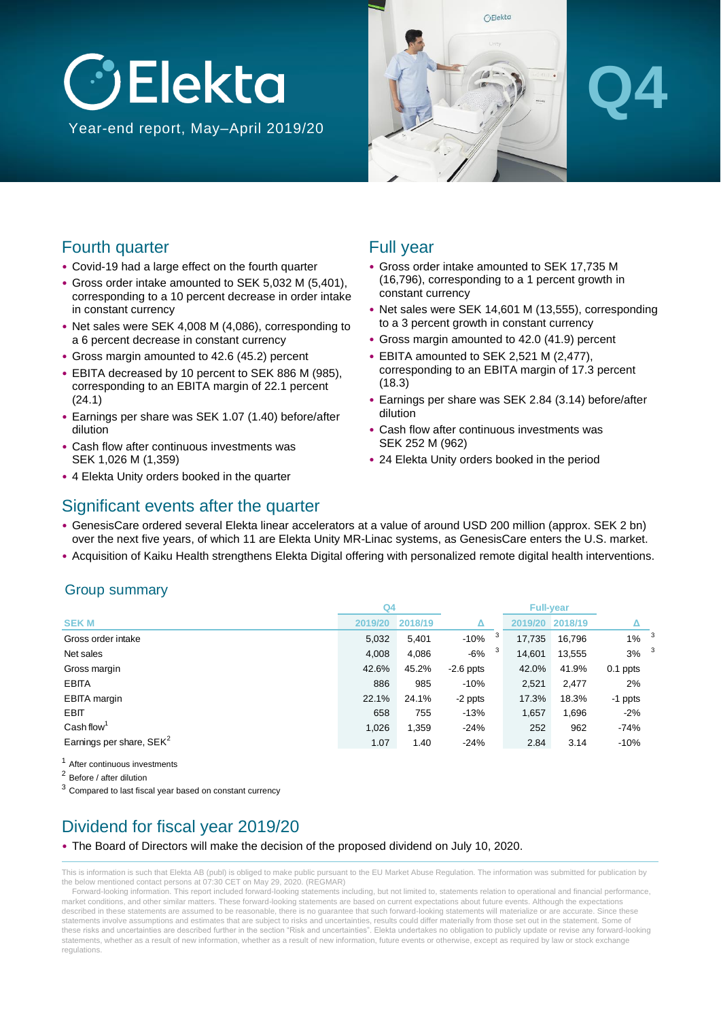# **J**Elekta Year-end report, May–April 2019/20



## Fourth quarter

- Covid-19 had a large effect on the fourth quarter
- Gross order intake amounted to SEK 5,032 M (5,401), corresponding to a 10 percent decrease in order intake in constant currency
- Net sales were SEK 4,008 M (4,086), corresponding to a 6 percent decrease in constant currency
- Gross margin amounted to 42.6 (45.2) percent
- EBITA decreased by 10 percent to SEK 886 M (985), corresponding to an EBITA margin of 22.1 percent (24.1)
- Earnings per share was SEK 1.07 (1.40) before/after dilution
- Cash flow after continuous investments was SEK 1,026 M (1,359)
- 4 Elekta Unity orders booked in the quarter

## Full year

- Gross order intake amounted to SEK 17,735 M (16,796), corresponding to a 1 percent growth in constant currency
- Net sales were SEK 14,601 M (13,555), corresponding to a 3 percent growth in constant currency
- Gross margin amounted to 42.0 (41.9) percent
- EBITA amounted to SEK 2,521 M (2,477), corresponding to an EBITA margin of 17.3 percent (18.3)
- Earnings per share was SEK 2.84 (3.14) before/after dilution
- Cash flow after continuous investments was SEK 252 M (962)
- 24 Elekta Unity orders booked in the period

### Significant events after the quarter

- GenesisCare ordered several Elekta linear accelerators at a value of around USD 200 million (approx. SEK 2 bn) over the next five years, of which 11 are Elekta Unity MR-Linac systems, as GenesisCare enters the U.S. market.
- Acquisition of Kaiku Health strengthens Elekta Digital offering with personalized remote digital health interventions.

### Group summary

|                                      | Q <sub>4</sub> |         |             |         | <b>Full-year</b> |                    |  |
|--------------------------------------|----------------|---------|-------------|---------|------------------|--------------------|--|
| <b>SEK M</b>                         | 2019/20        | 2018/19 | Δ           | 2019/20 | 2018/19          |                    |  |
| Gross order intake                   | 5,032          | 5,401   | 3<br>$-10%$ | 17,735  | 16,796           | $1\%$ <sup>3</sup> |  |
| Net sales                            | 4,008          | 4,086   | 3<br>-6%    | 14,601  | 13,555           | $3\%$ <sup>3</sup> |  |
| Gross margin                         | 42.6%          | 45.2%   | $-2.6$ ppts | 42.0%   | 41.9%            | 0.1 ppts           |  |
| <b>EBITA</b>                         | 886            | 985     | $-10%$      | 2,521   | 2,477            | 2%                 |  |
| <b>EBITA</b> margin                  | 22.1%          | 24.1%   | -2 ppts     | 17.3%   | 18.3%            | -1 ppts            |  |
| <b>EBIT</b>                          | 658            | 755     | $-13%$      | 1,657   | 1,696            | $-2%$              |  |
| Cash flow <sup>1</sup>               | 1,026          | 1,359   | $-24%$      | 252     | 962              | $-74%$             |  |
| Earnings per share, SEK <sup>2</sup> | 1.07           | 1.40    | $-24%$      | 2.84    | 3.14             | $-10%$             |  |

<sup>1</sup> After continuous investments

<sup>2</sup> Before / after dilution

<sup>3</sup> Compared to last fiscal year based on constant currency

## Dividend for fiscal year 2019/20

#### • The Board of Directors will make the decision of the proposed dividend on July 10, 2020.

This is information is such that Elekta AB (publ) is obliged to make public pursuant to the EU Market Abuse Regulation. The information was submitted for publication by the below mentioned contact persons at 07:30 CET on May 29, 2020. (REGMAR)

Forward-looking information. This report included forward-looking statements including, but not limited to, statements relation to operational and financial performance, market conditions, and other similar matters. These forward-looking statements are based on current expectations about future events. Although the expectations described in these statements are assumed to be reasonable, there is no guarantee that such forward-looking statements will materialize or are accurate. Since these statements involve assumptions and estimates that are subject to risks and uncertainties, results could differ materially from those set out in the statement. Some of these risks and uncertainties are described further in the section "Risk and uncertainties". Elekta undertakes no obligation to publicly update or revise any forward-looking statements, whether as a result of new information, whether as a result of new information, future events or otherwise, except as required by law or stock exchange regulations.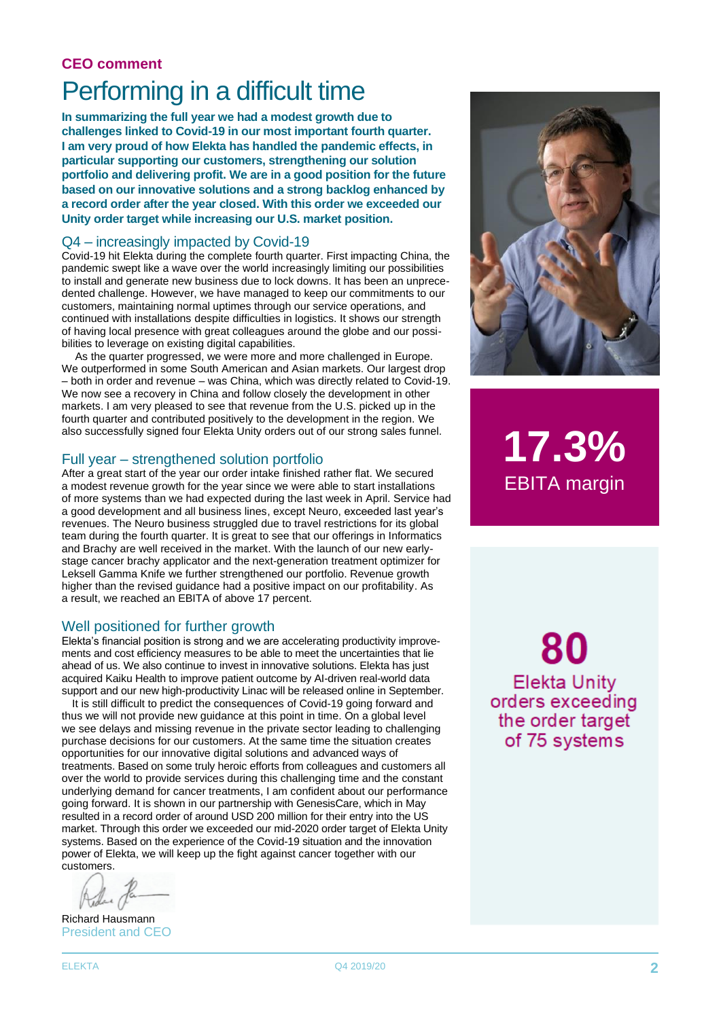## **CEO comment** Performing in a difficult time

**In summarizing the full year we had a modest growth due to challenges linked to Covid-19 in our most important fourth quarter. I am very proud of how Elekta has handled the pandemic effects, in particular supporting our customers, strengthening our solution portfolio and delivering profit. We are in a good position for the future based on our innovative solutions and a strong backlog enhanced by a record order after the year closed. With this order we exceeded our Unity order target while increasing our U.S. market position.**

#### Q4 – increasingly impacted by Covid-19

Covid-19 hit Elekta during the complete fourth quarter. First impacting China, the pandemic swept like a wave over the world increasingly limiting our possibilities to install and generate new business due to lock downs. It has been an unprecedented challenge. However, we have managed to keep our commitments to our customers, maintaining normal uptimes through our service operations, and continued with installations despite difficulties in logistics. It shows our strength of having local presence with great colleagues around the globe and our possibilities to leverage on existing digital capabilities.

As the quarter progressed, we were more and more challenged in Europe. We outperformed in some South American and Asian markets. Our largest drop – both in order and revenue – was China, which was directly related to Covid-19. We now see a recovery in China and follow closely the development in other markets. I am very pleased to see that revenue from the U.S. picked up in the fourth quarter and contributed positively to the development in the region. We also successfully signed four Elekta Unity orders out of our strong sales funnel.

#### Full year – strengthened solution portfolio

After a great start of the year our order intake finished rather flat. We secured a modest revenue growth for the year since we were able to start installations of more systems than we had expected during the last week in April. Service had a good development and all business lines, except Neuro, exceeded last year's revenues. The Neuro business struggled due to travel restrictions for its global team during the fourth quarter. It is great to see that our offerings in Informatics and Brachy are well received in the market. With the launch of our new earlystage cancer brachy applicator and the next-generation treatment optimizer for Leksell Gamma Knife we further strengthened our portfolio. Revenue growth higher than the revised guidance had a positive impact on our profitability. As a result, we reached an EBITA of above 17 percent.

#### Well positioned for further growth

Elekta's financial position is strong and we are accelerating productivity improvements and cost efficiency measures to be able to meet the uncertainties that lie ahead of us. We also continue to invest in innovative solutions. Elekta has just acquired Kaiku Health to improve patient outcome by AI-driven real-world data support and our new high-productivity Linac will be released online in September.

It is still difficult to predict the consequences of Covid-19 going forward and thus we will not provide new guidance at this point in time. On a global level we see delays and missing revenue in the private sector leading to challenging purchase decisions for our customers. At the same time the situation creates opportunities for our innovative digital solutions and advanced ways of treatments. Based on some truly heroic efforts from colleagues and customers all over the world to provide services during this challenging time and the constant underlying demand for cancer treatments, I am confident about our performance going forward. It is shown in our partnership with GenesisCare, which in May resulted in a record order of around USD 200 million for their entry into the US market. Through this order we exceeded our mid-2020 order target of Elekta Unity systems. Based on the experience of the Covid-19 situation and the innovation power of Elekta, we will keep up the fight against cancer together with our customers.

Richard Hausmann President and CEO



**17.3%** EBITA margin

80 **Elekta Unity** orders exceeding the order target of 75 systems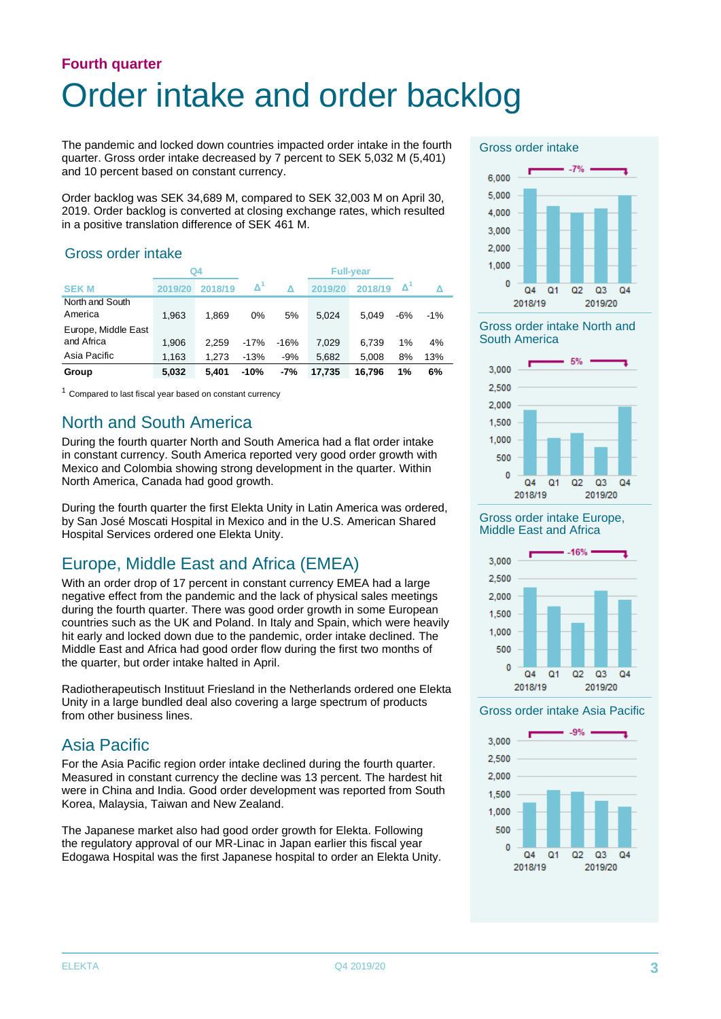## **Fourth quarter** Order intake and order backlog

The pandemic and locked down countries impacted order intake in the fourth quarter. Gross order intake decreased by 7 percent to SEK 5,032 M (5,401) and 10 percent based on constant currency.

Order backlog was SEK 34,689 M, compared to SEK 32,003 M on April 30, 2019. Order backlog is converted at closing exchange rates, which resulted in a positive translation difference of SEK 461 M.

### Gross order intake

|                                   |         | Q4      |                     |        |         | <b>Full-vear</b> |     |       |
|-----------------------------------|---------|---------|---------------------|--------|---------|------------------|-----|-------|
| <b>SEKM</b>                       | 2019/20 | 2018/19 | $\mathbf{\Delta}^n$ | Δ      | 2019/20 | 2018/19          | Δ   |       |
| North and South<br>America        | 1.963   | 1.869   | 0%                  | 5%     | 5.024   | 5.049            | -6% | $-1%$ |
| Europe, Middle East<br>and Africa | 1.906   | 2.259   | $-17%$              | $-16%$ | 7.029   | 6.739            | 1%  | 4%    |
| Asia Pacific                      | 1,163   | 1.273   | $-13%$              | $-9%$  | 5.682   | 5.008            | 8%  | 13%   |
| Group                             | 5,032   | 5.401   | $-10%$              | -7%    | 17,735  | 16,796           | 1%  | 6%    |

 $1$  Compared to last fiscal year based on constant currency

### North and South America

During the fourth quarter North and South America had a flat order intake in constant currency. South America reported very good order growth with Mexico and Colombia showing strong development in the quarter. Within North America, Canada had good growth.

During the fourth quarter the first Elekta Unity in Latin America was ordered, by San José Moscati Hospital in Mexico and in the U.S. American Shared Hospital Services ordered one Elekta Unity.

## Europe, Middle East and Africa (EMEA)

With an order drop of 17 percent in constant currency EMEA had a large negative effect from the pandemic and the lack of physical sales meetings during the fourth quarter. There was good order growth in some European countries such as the UK and Poland. In Italy and Spain, which were heavily hit early and locked down due to the pandemic, order intake declined. The Middle East and Africa had good order flow during the first two months of the quarter, but order intake halted in April.

Radiotherapeutisch Instituut Friesland in the Netherlands ordered one Elekta Unity in a large bundled deal also covering a large spectrum of products from other business lines.

## Asia Pacific

For the Asia Pacific region order intake declined during the fourth quarter. Measured in constant currency the decline was 13 percent. The hardest hit were in China and India. Good order development was reported from South Korea, Malaysia, Taiwan and New Zealand.

The Japanese market also had good order growth for Elekta. Following the regulatory approval of our MR-Linac in Japan earlier this fiscal year Edogawa Hospital was the first Japanese hospital to order an Elekta Unity.

#### Gross order intake



Gross order intake North and South America



Gross order intake Europe, Middle East and Africa



#### Gross order intake Asia Pacific

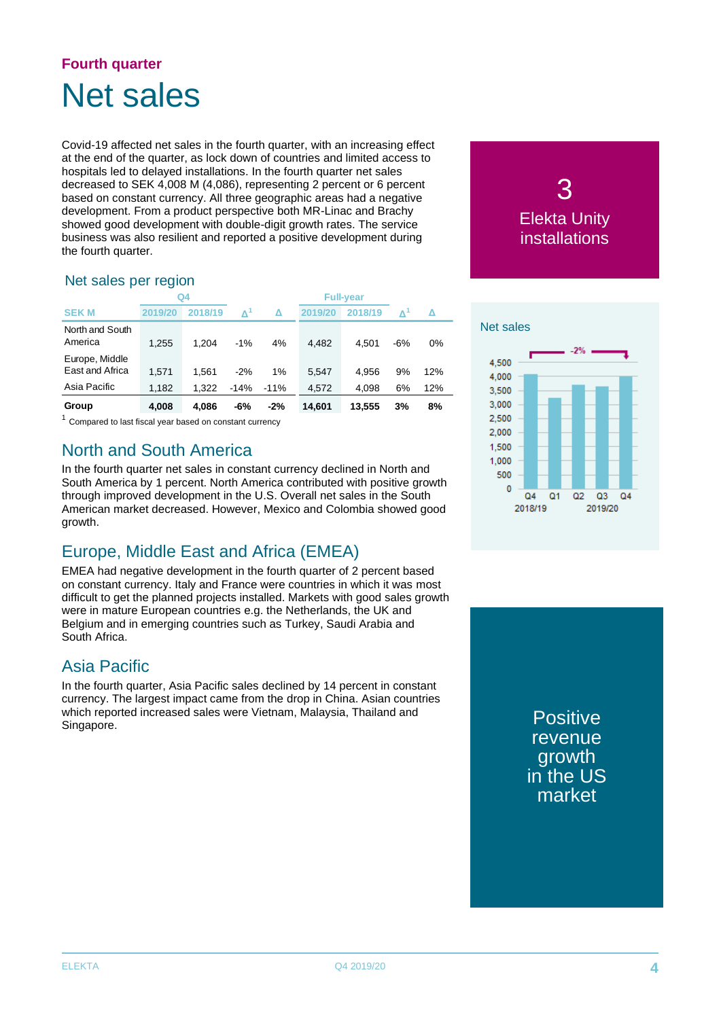## **Fourth quarter** Net sales

Covid-19 affected net sales in the fourth quarter, with an increasing effect at the end of the quarter, as lock down of countries and limited access to hospitals led to delayed installations. In the fourth quarter net sales decreased to SEK 4,008 M (4,086), representing 2 percent or 6 percent based on constant currency. All three geographic areas had a negative development. From a product perspective both MR-Linac and Brachy showed good development with double-digit growth rates. The service business was also resilient and reported a positive development during the fourth quarter.

### Net sales per region

|                                   |         | Q <sub>4</sub> |             |        |         | <b>Full-year</b> |     |     |
|-----------------------------------|---------|----------------|-------------|--------|---------|------------------|-----|-----|
| <b>SEKM</b>                       | 2019/20 | 2018/19        | $\Lambda^1$ | Δ      | 2019/20 | 2018/19          |     | Δ   |
| North and South<br>America        | 1,255   | 1.204          | $-1%$       | 4%     | 4.482   | 4.501            | -6% | 0%  |
| Europe, Middle<br>East and Africa | 1.571   | 1.561          | $-2%$       | $1\%$  | 5.547   | 4.956            | 9%  | 12% |
| Asia Pacific                      | 1,182   | 1.322          | $-14%$      | $-11%$ | 4.572   | 4.098            | 6%  | 12% |
| Group                             | 4.008   | 4.086          | -6%         | $-2%$  | 14.601  | 13.555           | 3%  | 8%  |

Compared to last fiscal year based on constant currency

## North and South America

In the fourth quarter net sales in constant currency declined in North and South America by 1 percent. North America contributed with positive growth through improved development in the U.S. Overall net sales in the South American market decreased. However, Mexico and Colombia showed good growth.

## Europe, Middle East and Africa (EMEA)

EMEA had negative development in the fourth quarter of 2 percent based on constant currency. Italy and France were countries in which it was most difficult to get the planned projects installed. Markets with good sales growth were in mature European countries e.g. the Netherlands, the UK and Belgium and in emerging countries such as Turkey, Saudi Arabia and South Africa.

## Asia Pacific

In the fourth quarter, Asia Pacific sales declined by 14 percent in constant currency. The largest impact came from the drop in China. Asian countries which reported increased sales were Vietnam, Malaysia, Thailand and Singapore.





**Positive** revenue growth in the US market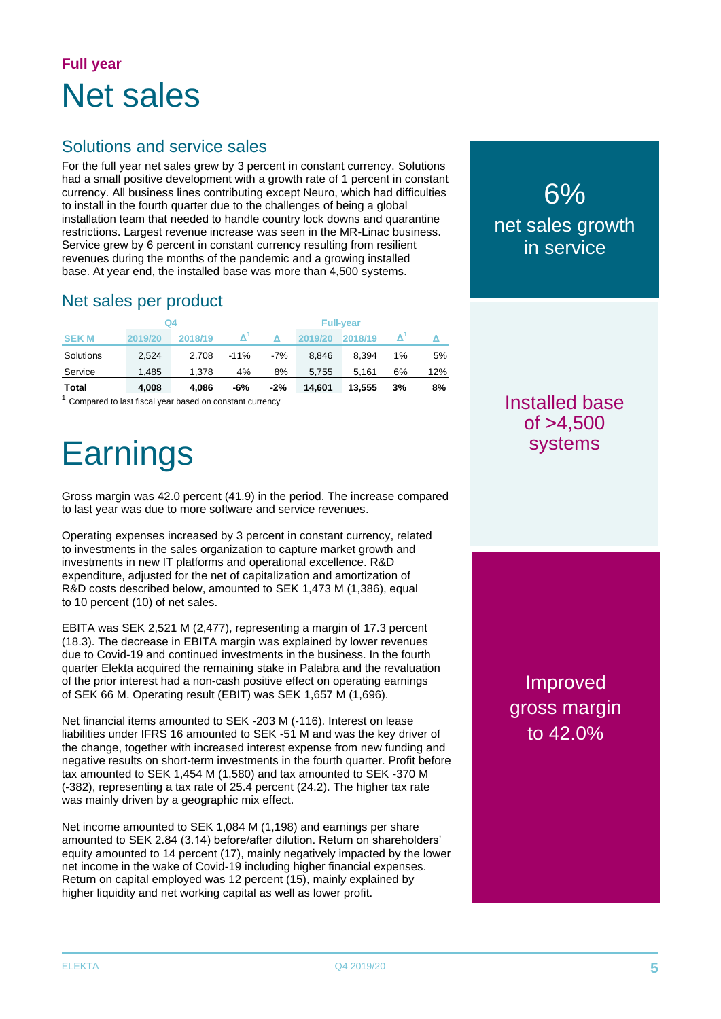## **Full year** Net sales

## Solutions and service sales

For the full year net sales grew by 3 percent in constant currency. Solutions had a small positive development with a growth rate of 1 percent in constant currency. All business lines contributing except Neuro, which had difficulties to install in the fourth quarter due to the challenges of being a global installation team that needed to handle country lock downs and quarantine restrictions. Largest revenue increase was seen in the MR-Linac business. Service grew by 6 percent in constant currency resulting from resilient revenues during the months of the pandemic and a growing installed base. At year end, the installed base was more than 4,500 systems.

## Net sales per product

|             |         | Q4      |        |       |         | <b>Full-year</b> |    |     |
|-------------|---------|---------|--------|-------|---------|------------------|----|-----|
| <b>SEKM</b> | 2019/20 | 2018/19 |        |       | 2019/20 | 2018/19          |    |     |
| Solutions   | 2.524   | 2.708   | $-11%$ | $-7%$ | 8.846   | 8.394            | 1% | 5%  |
| Service     | 1.485   | 1.378   | 4%     | 8%    | 5.755   | 5.161            | 6% | 12% |
| Total       | 4.008   | 4.086   | -6%    | $-2%$ | 14.601  | 13.555           | 3% | 8%  |

 $1$  Compared to last fiscal year based on constant currency

# **Earnings**

Gross margin was 42.0 percent (41.9) in the period. The increase compared to last year was due to more software and service revenues.

Operating expenses increased by 3 percent in constant currency, related to investments in the sales organization to capture market growth and investments in new IT platforms and operational excellence. R&D expenditure, adjusted for the net of capitalization and amortization of R&D costs described below, amounted to SEK 1,473 M (1,386), equal to 10 percent (10) of net sales.

EBITA was SEK 2,521 M (2,477), representing a margin of 17.3 percent (18.3). The decrease in EBITA margin was explained by lower revenues due to Covid-19 and continued investments in the business. In the fourth quarter Elekta acquired the remaining stake in Palabra and the revaluation of the prior interest had a non-cash positive effect on operating earnings of SEK 66 M. Operating result (EBIT) was SEK 1,657 M (1,696).

Net financial items amounted to SEK -203 M (-116). Interest on lease liabilities under IFRS 16 amounted to SEK -51 M and was the key driver of the change, together with increased interest expense from new funding and negative results on short-term investments in the fourth quarter. Profit before tax amounted to SEK 1,454 M (1,580) and tax amounted to SEK -370 M (-382), representing a tax rate of 25.4 percent (24.2). The higher tax rate was mainly driven by a geographic mix effect.

Net income amounted to SEK 1,084 M (1,198) and earnings per share amounted to SEK 2.84 (3.14) before/after dilution. Return on shareholders' equity amounted to 14 percent (17), mainly negatively impacted by the lower net income in the wake of Covid-19 including higher financial expenses. Return on capital employed was 12 percent (15), mainly explained by higher liquidity and net working capital as well as lower profit.

## 6% net sales growth in service

## Installed base  $of > 4.500$ systems

Improved gross margin to 42.0%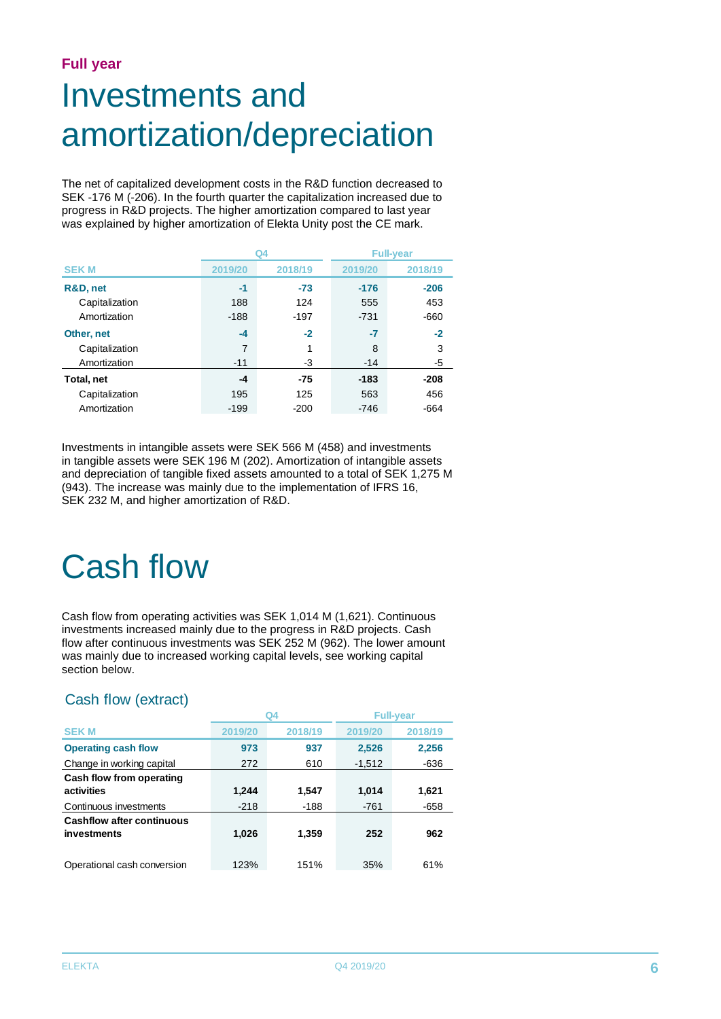#### **Full year**

# Investments and amortization/depreciation

The net of capitalized development costs in the R&D function decreased to SEK -176 M (-206). In the fourth quarter the capitalization increased due to progress in R&D projects. The higher amortization compared to last year was explained by higher amortization of Elekta Unity post the CE mark.

|                |         | Q4      |         | <b>Full-year</b> |
|----------------|---------|---------|---------|------------------|
| <b>SEKM</b>    | 2019/20 | 2018/19 | 2019/20 | 2018/19          |
| R&D, net       | -1      | $-73$   | $-176$  | $-206$           |
| Capitalization | 188     | 124     | 555     | 453              |
| Amortization   | $-188$  | $-197$  | $-731$  | $-660$           |
| Other, net     | $-4$    | $-2$    | -7      | $-2$             |
| Capitalization | 7       |         | 8       | 3                |
| Amortization   | $-11$   | -3      | $-14$   | -5               |
| Total, net     | $-4$    | $-75$   | $-183$  | $-208$           |
| Capitalization | 195     | 125     | 563     | 456              |
| Amortization   | $-199$  | $-200$  | -746    | $-664$           |

Investments in intangible assets were SEK 566 M (458) and investments in tangible assets were SEK 196 M (202). Amortization of intangible assets and depreciation of tangible fixed assets amounted to a total of SEK 1,275 M (943). The increase was mainly due to the implementation of IFRS 16, SEK 232 M, and higher amortization of R&D.

# Cash flow

Cash flow from operating activities was SEK 1,014 M (1,621). Continuous investments increased mainly due to the progress in R&D projects. Cash flow after continuous investments was SEK 252 M (962). The lower amount was mainly due to increased working capital levels, see working capital section below.

### Cash flow (extract)

|                                                 |         | Q4      | <b>Full-year</b> |         |
|-------------------------------------------------|---------|---------|------------------|---------|
| <b>SEK M</b>                                    | 2019/20 | 2018/19 | 2019/20          | 2018/19 |
| <b>Operating cash flow</b>                      | 973     | 937     | 2,526            | 2,256   |
| Change in working capital                       | 272     | 610     | $-1,512$         | $-636$  |
| Cash flow from operating                        |         |         |                  |         |
| activities                                      | 1,244   | 1.547   | 1,014            | 1,621   |
| Continuous investments                          | $-218$  | $-188$  | $-761$           | $-658$  |
| <b>Cashflow after continuous</b><br>investments | 1,026   | 1,359   | 252              | 962     |
| Operational cash conversion                     | 123%    | 151%    | 35%              | 61%     |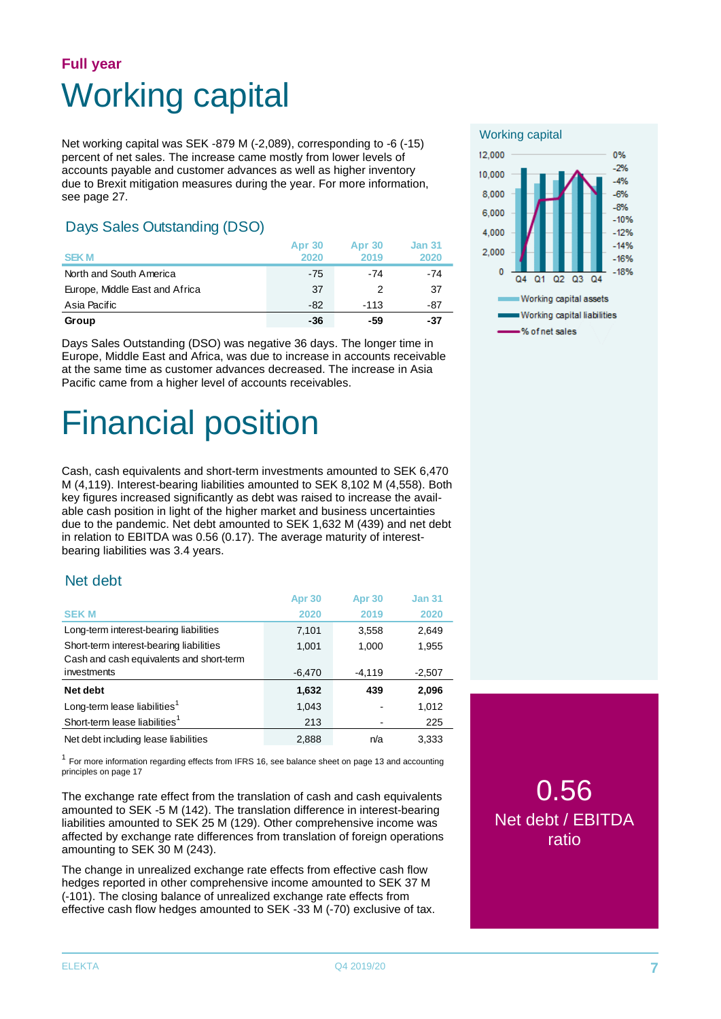## **Full year** Working capital

Net working capital was SEK -879 M (-2,089), corresponding to -6 (-15) percent of net sales. The increase came mostly from lower levels of accounts payable and customer advances as well as higher inventory due to Brexit mitigation measures during the year. For more information, see page 27.

### Days Sales Outstanding (DSO)

| <b>SEKM</b>                    | <b>Apr 30</b><br>2020 | <b>Apr 30</b><br>2019 | <b>Jan 31</b><br>2020 |
|--------------------------------|-----------------------|-----------------------|-----------------------|
| North and South America        | $-75$                 | -74                   | -74                   |
| Europe, Middle East and Africa | 37                    |                       | 37                    |
| Asia Pacific                   | $-82$                 | $-113$                | -87                   |
| Group                          | -36                   | -59                   | -37                   |

Days Sales Outstanding (DSO) was negative 36 days. The longer time in Europe, Middle East and Africa, was due to increase in accounts receivable at the same time as customer advances decreased. The increase in Asia Pacific came from a higher level of accounts receivables.

# Financial position

Cash, cash equivalents and short-term investments amounted to SEK 6,470 M (4,119). Interest-bearing liabilities amounted to SEK 8,102 M (4,558). Both key figures increased significantly as debt was raised to increase the available cash position in light of the higher market and business uncertainties due to the pandemic. Net debt amounted to SEK 1,632 M (439) and net debt in relation to EBITDA was 0.56 (0.17). The average maturity of interestbearing liabilities was 3.4 years.

### Net debt

|                                                                                     | Apr <sub>30</sub> | Apr 30   | <b>Jan 31</b> |
|-------------------------------------------------------------------------------------|-------------------|----------|---------------|
| <b>SEKM</b>                                                                         | 2020              | 2019     | 2020          |
| Long-term interest-bearing liabilities                                              | 7,101             | 3,558    | 2,649         |
| Short-term interest-bearing liabilities<br>Cash and cash equivalents and short-term | 1,001             | 1,000    | 1,955         |
| investments                                                                         | $-6,470$          | $-4,119$ | $-2,507$      |
| Net debt                                                                            | 1,632             | 439      | 2,096         |
| Long-term lease liabilities <sup>1</sup>                                            | 1,043             |          | 1,012         |
| Short-term lease liabilities <sup>1</sup>                                           | 213               |          | 225           |
| Net debt including lease liabilities                                                | 2,888             | n/a      | 3.333         |

 $1$  For more information regarding effects from IFRS 16, see balance sheet on page 13 and accounting principles on page 17

The exchange rate effect from the translation of cash and cash equivalents amounted to SEK -5 M (142). The translation difference in interest-bearing liabilities amounted to SEK 25 M (129). Other comprehensive income was affected by exchange rate differences from translation of foreign operations amounting to SEK 30 M (243).

The change in unrealized exchange rate effects from effective cash flow hedges reported in other comprehensive income amounted to SEK 37 M (-101). The closing balance of unrealized exchange rate effects from effective cash flow hedges amounted to SEK -33 M (-70) exclusive of tax.



0.56 Net debt / EBITDA ratio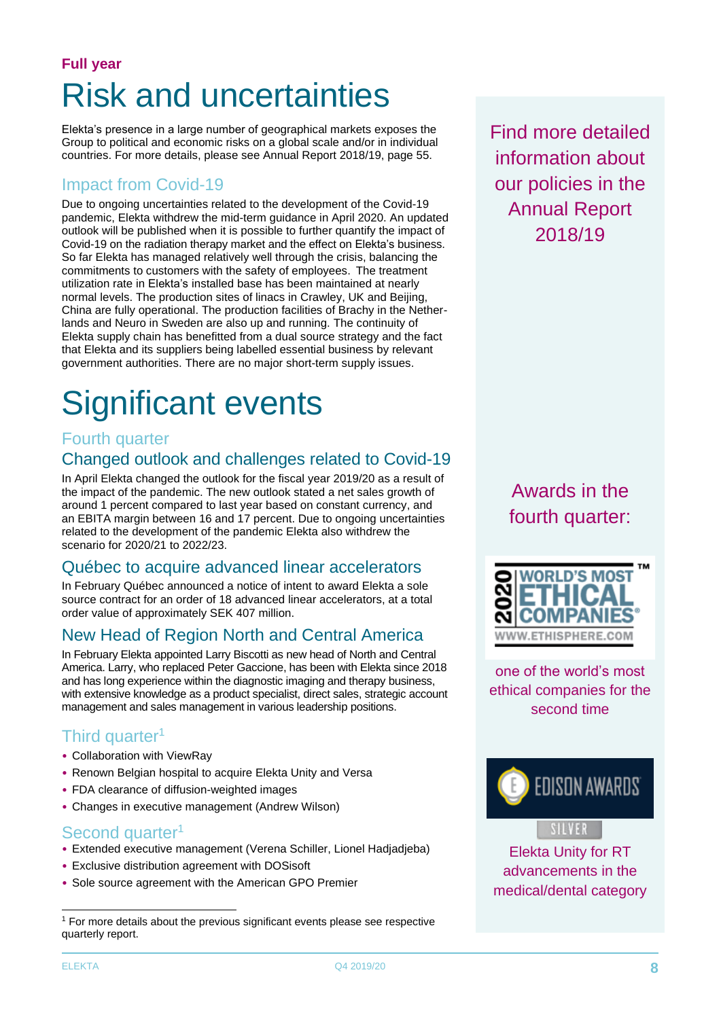## **Full year** Risk and uncertainties

Elekta's presence in a large number of geographical markets exposes the Group to political and economic risks on a global scale and/or in individual countries. For more details, please see Annual Report 2018/19, page 55.

### Impact from Covid-19

Due to ongoing uncertainties related to the development of the Covid-19 pandemic, Elekta withdrew the mid-term guidance in April 2020. An updated outlook will be published when it is possible to further quantify the impact of Covid-19 on the radiation therapy market and the effect on Elekta's business. So far Elekta has managed relatively well through the crisis, balancing the commitments to customers with the safety of employees. The treatment utilization rate in Elekta's installed base has been maintained at nearly normal levels. The production sites of linacs in Crawley, UK and Beijing, China are fully operational. The production facilities of Brachy in the Netherlands and Neuro in Sweden are also up and running. The continuity of Elekta supply chain has benefitted from a dual source strategy and the fact that Elekta and its suppliers being labelled essential business by relevant government authorities. There are no major short-term supply issues.

# Significant events

### Fourth quarter

## Changed outlook and challenges related to Covid-19

In April Elekta changed the outlook for the fiscal year 2019/20 as a result of the impact of the pandemic. The new outlook stated a net sales growth of around 1 percent compared to last year based on constant currency, and an EBITA margin between 16 and 17 percent. Due to ongoing uncertainties related to the development of the pandemic Elekta also withdrew the scenario for 2020/21 to 2022/23.

## Québec to acquire advanced linear accelerators

In February Québec announced a notice of intent to award Elekta a sole source contract for an order of 18 advanced linear accelerators, at a total order value of approximately SEK 407 million.

## New Head of Region North and Central America

In February Elekta appointed Larry Biscotti as new head of North and Central America. Larry, who replaced Peter Gaccione, has been with Elekta since 2018 and has long experience within the diagnostic imaging and therapy business, with extensive knowledge as a product specialist, direct sales, strategic account management and sales management in various leadership positions.

## Third quarter<sup>1</sup>

- Collaboration with ViewRay
- Renown Belgian hospital to acquire Elekta Unity and Versa
- FDA clearance of diffusion-weighted images
- Changes in executive management (Andrew Wilson)

### Second quarter<sup>1</sup>

- Extended executive management (Verena Schiller, Lionel Hadjadjeba)
- Exclusive distribution agreement with DOSisoft
- Sole source agreement with the American GPO Premier

Find more detailed information about our policies in the Annual Report 2018/19

> Awards in the fourth quarter:



one of the world's most ethical companies for the second time





Elekta Unity for RT advancements in the medical/dental category

 $1$  For more details about the previous significant events please see respective quarterly report.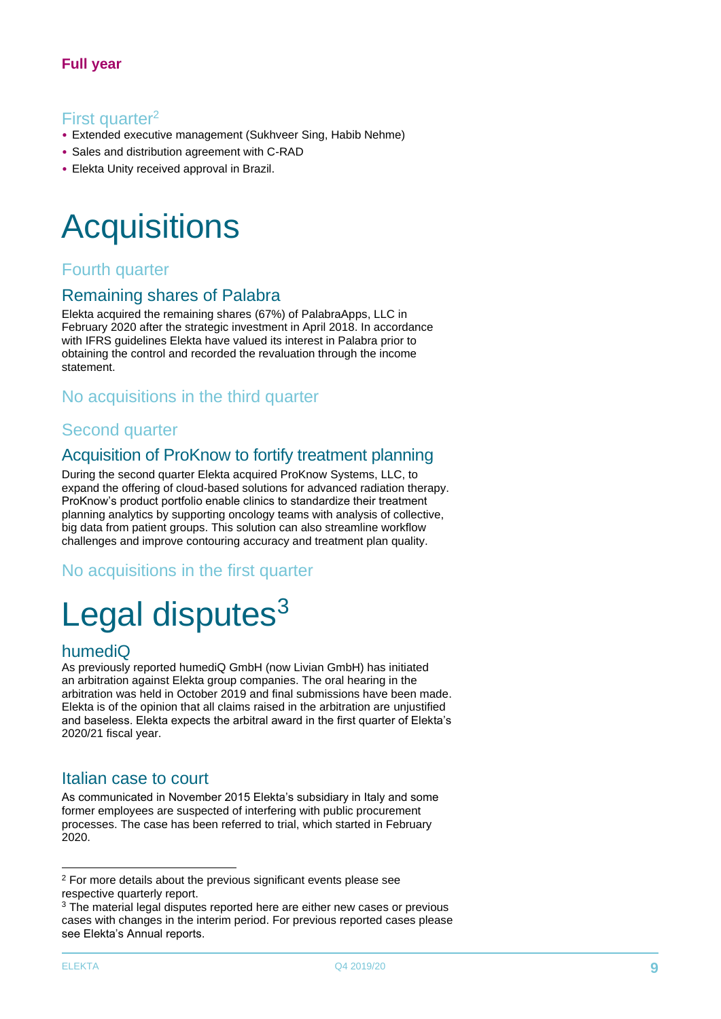### First quarter<sup>2</sup>

- Extended executive management (Sukhveer Sing, Habib Nehme)
- Sales and distribution agreement with C-RAD
- Elekta Unity received approval in Brazil.

# **Acquisitions**

### Fourth quarter

### Remaining shares of Palabra

Elekta acquired the remaining shares (67%) of [PalabraApps,](http://www.palabraapps.com/) LLC in February 2020 after the strategic investment in April 2018. In accordance with IFRS guidelines Elekta have valued its interest in Palabra prior to obtaining the control and recorded the revaluation through the income statement.

### No acquisitions in the third quarter

### Second quarter

### Acquisition of ProKnow to fortify treatment planning

During the second quarter Elekta acquired ProKnow Systems, LLC, to expand the offering of cloud-based solutions for advanced radiation therapy. ProKnow's product portfolio enable clinics to standardize their treatment planning analytics by supporting oncology teams with analysis of collective, big data from patient groups. This solution can also streamline workflow challenges and improve contouring accuracy and treatment plan quality.

No acquisitions in the first quarter

# Legal disputes $3$

### humediQ

As previously reported humediQ GmbH (now Livian GmbH) has initiated an arbitration against Elekta group companies. The oral hearing in the arbitration was held in October 2019 and final submissions have been made. Elekta is of the opinion that all claims raised in the arbitration are unjustified and baseless. Elekta expects the arbitral award in the first quarter of Elekta's 2020/21 fiscal year.

### Italian case to court

As communicated in November 2015 Elekta's subsidiary in Italy and some former employees are suspected of interfering with public procurement processes. The case has been referred to trial, which started in February 2020.

 $2$  For more details about the previous significant events please see respective quarterly report.

<sup>&</sup>lt;sup>3</sup> The material legal disputes reported here are either new cases or previous cases with changes in the interim period. For previous reported cases please see Elekta's Annual reports.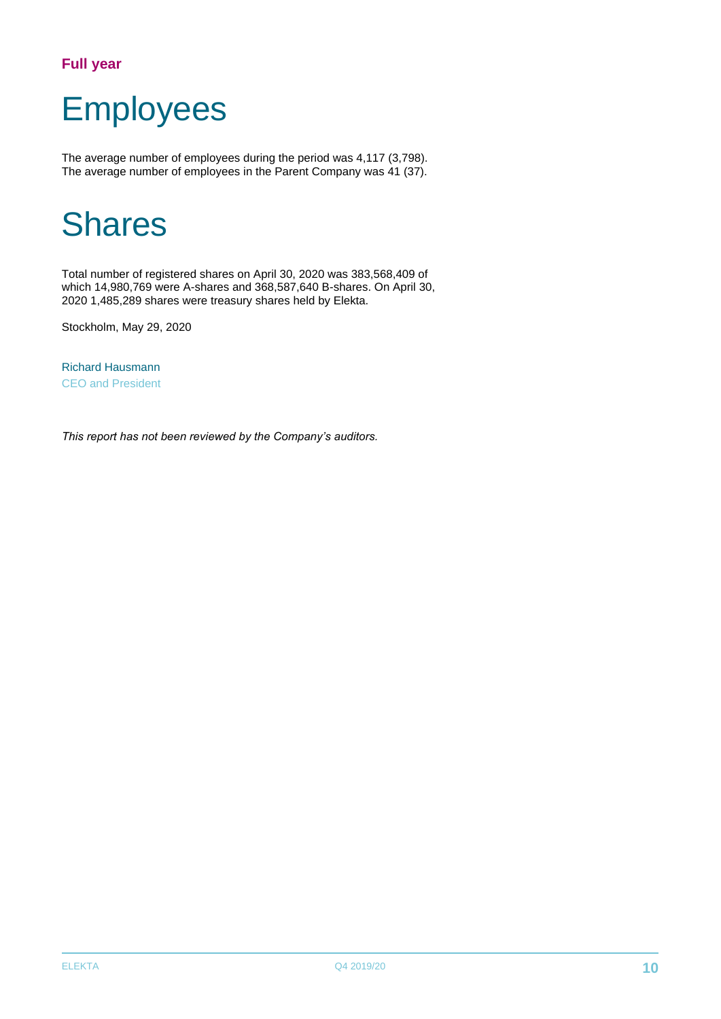### **Full year**

# Employees

The average number of employees during the period was 4,117 (3,798). The average number of employees in the Parent Company was 41 (37).

# Shares

Total number of registered shares on April 30, 2020 was 383,568,409 of which 14,980,769 were A-shares and 368,587,640 B-shares. On April 30, 2020 1,485,289 shares were treasury shares held by Elekta.

Stockholm, May 29, 2020

Richard Hausmann CEO and President

*This report has not been reviewed by the Company's auditors.*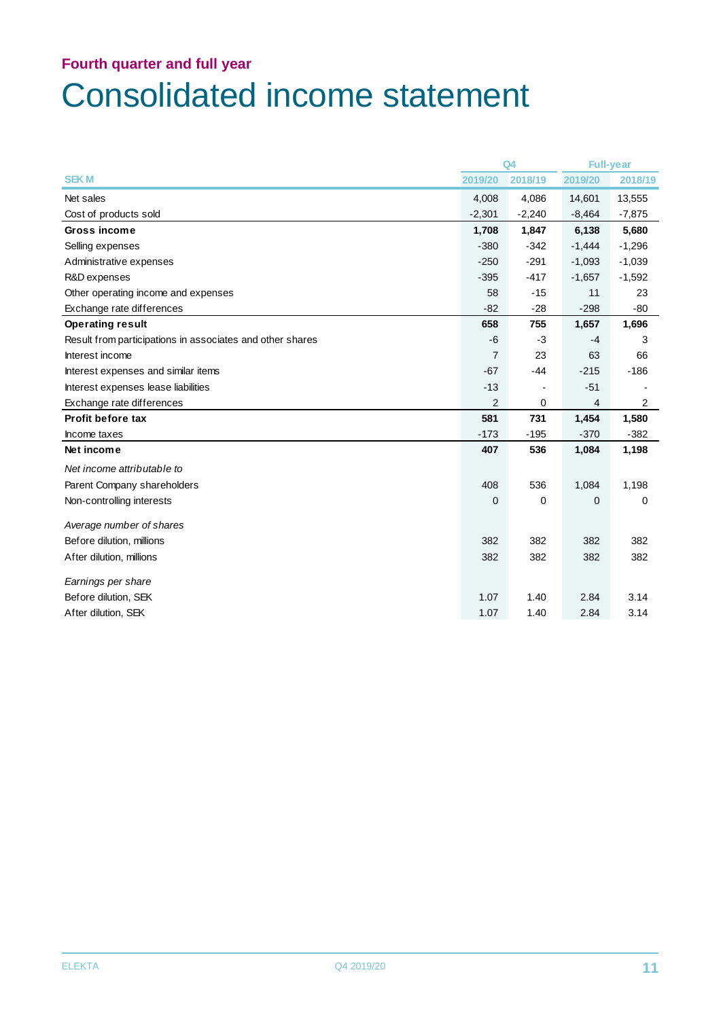## **Fourth quarter and full year** Consolidated income statement

|                                                           |                | Q4          |                | <b>Full-year</b> |
|-----------------------------------------------------------|----------------|-------------|----------------|------------------|
| <b>SEKM</b>                                               | 2019/20        | 2018/19     | 2019/20        | 2018/19          |
| Net sales                                                 | 4,008          | 4,086       | 14,601         | 13,555           |
| Cost of products sold                                     | $-2,301$       | $-2,240$    | $-8,464$       | $-7,875$         |
| Gross income                                              | 1,708          | 1,847       | 6,138          | 5,680            |
| Selling expenses                                          | $-380$         | $-342$      | $-1,444$       | $-1,296$         |
| Administrative expenses                                   | $-250$         | $-291$      | $-1,093$       | $-1,039$         |
| R&D expenses                                              | $-395$         | $-417$      | $-1,657$       | $-1,592$         |
| Other operating income and expenses                       | 58             | $-15$       | 11             | 23               |
| Exchange rate differences                                 | $-82$          | $-28$       | $-298$         | $-80$            |
| <b>Operating result</b>                                   | 658            | 755         | 1,657          | 1,696            |
| Result from participations in associates and other shares | $-6$           | $-3$        | $-4$           | 3                |
| Interest income                                           | $\overline{7}$ | 23          | 63             | 66               |
| Interest expenses and similar items                       | $-67$          | $-44$       | $-215$         | $-186$           |
| Interest expenses lease liabilities                       | $-13$          |             | $-51$          |                  |
| Exchange rate differences                                 | $\overline{2}$ | 0           | $\overline{4}$ | $\overline{2}$   |
| Profit before tax                                         | 581            | 731         | 1,454          | 1,580            |
| Income taxes                                              | $-173$         | $-195$      | $-370$         | $-382$           |
| Net income                                                | 407            | 536         | 1,084          | 1,198            |
| Net income attributable to                                |                |             |                |                  |
| Parent Company shareholders                               | 408            | 536         | 1,084          | 1,198            |
| Non-controlling interests                                 | $\mathbf 0$    | $\mathbf 0$ | 0              | 0                |
| Average number of shares                                  |                |             |                |                  |
| Before dilution, millions                                 | 382            | 382         | 382            | 382              |
| After dilution, millions                                  | 382            | 382         | 382            | 382              |
| Earnings per share                                        |                |             |                |                  |
| Before dilution, SEK                                      | 1.07           | 1.40        | 2.84           | 3.14             |
| After dilution, SEK                                       | 1.07           | 1.40        | 2.84           | 3.14             |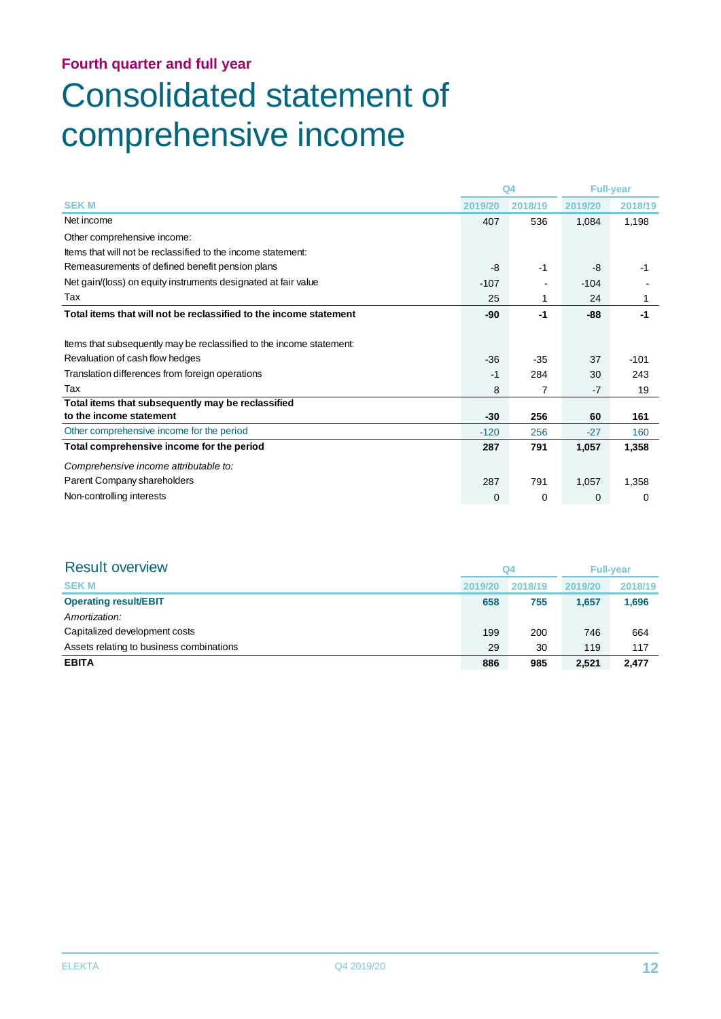# Consolidated statement of comprehensive income

|                                                                      |         | Q <sub>4</sub> |         | <b>Full-year</b> |
|----------------------------------------------------------------------|---------|----------------|---------|------------------|
| <b>SEKM</b>                                                          | 2019/20 | 2018/19        | 2019/20 | 2018/19          |
| Net income                                                           | 407     | 536            | 1,084   | 1,198            |
| Other comprehensive income:                                          |         |                |         |                  |
| Items that will not be reclassified to the income statement:         |         |                |         |                  |
| Remeasurements of defined benefit pension plans                      | -8      | $-1$           | -8      | $-1$             |
| Net gain/(loss) on equity instruments designated at fair value       | $-107$  |                | $-104$  |                  |
| Tax                                                                  | 25      |                | 24      | 1                |
| Total items that will not be reclassified to the income statement    | -90     | -1             | $-88-$  | $-1$             |
|                                                                      |         |                |         |                  |
| Items that subsequently may be reclassified to the income statement: |         |                |         |                  |
| Revaluation of cash flow hedges                                      | $-36$   | $-35$          | 37      | $-101$           |
| Translation differences from foreign operations                      | -1      | 284            | 30      | 243              |
| Tax                                                                  | 8       | 7              | $-7$    | 19               |
| Total items that subsequently may be reclassified                    |         |                |         |                  |
| to the income statement                                              | -30     | 256            | 60      | 161              |
| Other comprehensive income for the period                            | $-120$  | 256            | $-27$   | 160              |
| Total comprehensive income for the period                            | 287     | 791            | 1,057   | 1,358            |
| Comprehensive income attributable to:                                |         |                |         |                  |
| Parent Company shareholders                                          | 287     | 791            | 1,057   | 1,358            |
| Non-controlling interests                                            | 0       | 0              | 0       | 0                |

| <b>Result overview</b>                   | Q <sub>4</sub> |         | <b>Full-vear</b> |         |
|------------------------------------------|----------------|---------|------------------|---------|
| <b>SEKM</b>                              | 2019/20        | 2018/19 | 2019/20          | 2018/19 |
| <b>Operating result/EBIT</b>             | 658            | 755     | 1,657            | 1,696   |
| Amortization:                            |                |         |                  |         |
| Capitalized development costs            | 199            | 200     | 746              | 664     |
| Assets relating to business combinations | 29             | 30      | 119              | 117     |
| <b>EBITA</b>                             | 886            | 985     | 2,521            | 2.477   |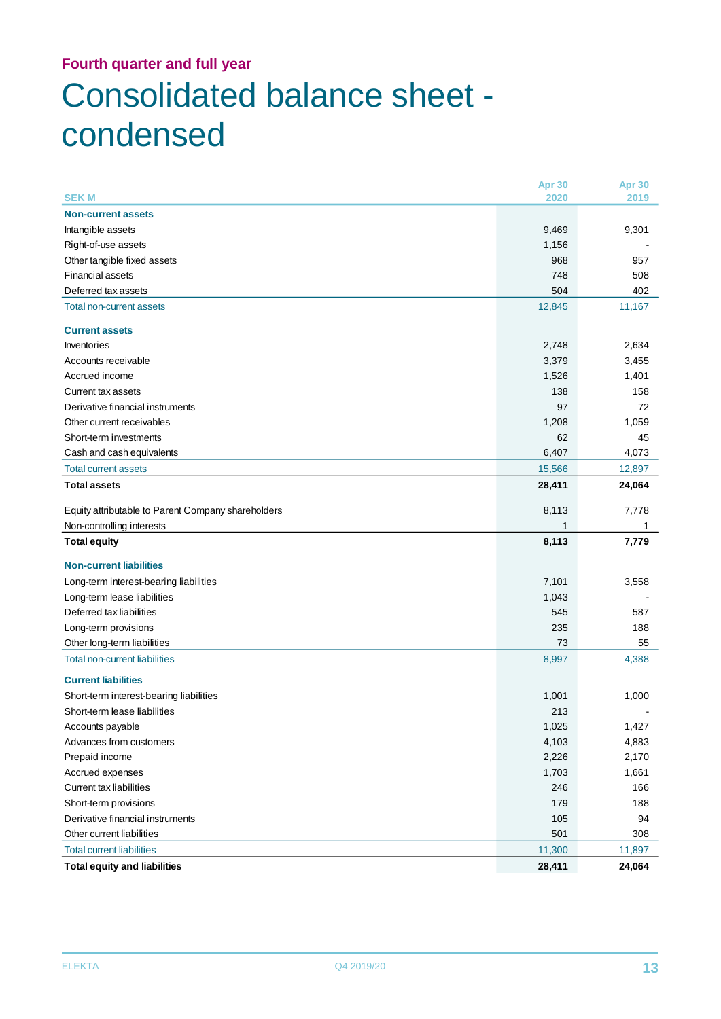## **Fourth quarter and full year** Consolidated balance sheet condensed

|                                                                     | Apr 30       | Apr 30 |
|---------------------------------------------------------------------|--------------|--------|
| <b>SEKM</b>                                                         | 2020         | 2019   |
| <b>Non-current assets</b>                                           |              |        |
| Intangible assets                                                   | 9,469        | 9,301  |
| Right-of-use assets                                                 | 1,156        |        |
| Other tangible fixed assets                                         | 968          | 957    |
| <b>Financial assets</b>                                             | 748          | 508    |
| Deferred tax assets                                                 | 504          | 402    |
| <b>Total non-current assets</b>                                     | 12,845       | 11,167 |
| <b>Current assets</b>                                               |              |        |
| Inventories                                                         | 2,748        | 2,634  |
| Accounts receivable                                                 | 3,379        | 3,455  |
| Accrued income                                                      | 1,526        | 1,401  |
| Current tax assets                                                  | 138          | 158    |
| Derivative financial instruments                                    | 97           | 72     |
| Other current receivables                                           | 1,208        | 1,059  |
| Short-term investments                                              | 62           | 45     |
| Cash and cash equivalents                                           | 6,407        | 4,073  |
| <b>Total current assets</b>                                         | 15,566       | 12,897 |
| <b>Total assets</b>                                                 | 28,411       | 24,064 |
| Equity attributable to Parent Company shareholders                  | 8,113        | 7,778  |
|                                                                     |              |        |
| Non-controlling interests                                           | 1            | 1      |
| <b>Total equity</b>                                                 | 8,113        | 7,779  |
| <b>Non-current liabilities</b>                                      |              |        |
|                                                                     | 7,101        | 3,558  |
| Long-term interest-bearing liabilities                              |              |        |
| Long-term lease liabilities<br>Deferred tax liabilities             | 1,043<br>545 | 587    |
|                                                                     | 235          | 188    |
| Long-term provisions                                                | 73           | 55     |
| Other long-term liabilities<br><b>Total non-current liabilities</b> | 8,997        | 4,388  |
| <b>Current liabilities</b>                                          |              |        |
| Short-term interest-bearing liabilities                             | 1,001        | 1,000  |
| Short-term lease liabilities                                        | 213          |        |
| Accounts payable                                                    | 1,025        | 1,427  |
| Advances from customers                                             | 4,103        | 4,883  |
| Prepaid income                                                      | 2,226        | 2,170  |
| Accrued expenses                                                    | 1,703        | 1,661  |
| <b>Current tax liabilities</b>                                      | 246          | 166    |
| Short-term provisions                                               | 179          | 188    |
| Derivative financial instruments                                    | 105          | 94     |
| Other current liabilities                                           | 501          | 308    |
| <b>Total current liabilities</b>                                    | 11,300       | 11,897 |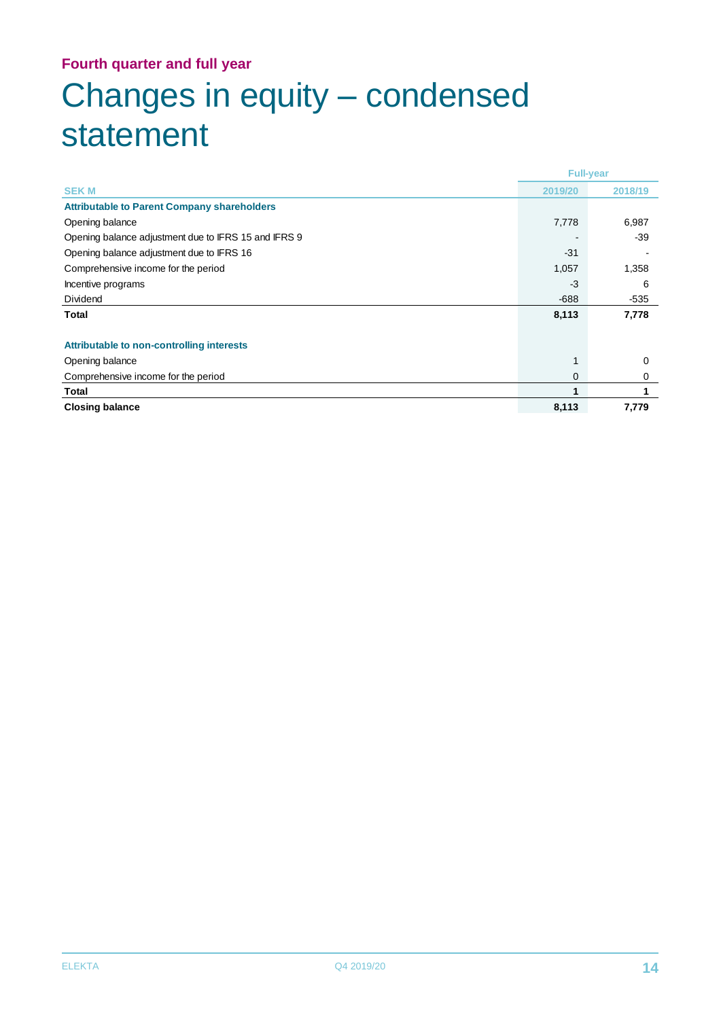## **Fourth quarter and full year** Changes in equity – condensed statement

|                                                      | <b>Full-year</b> |         |
|------------------------------------------------------|------------------|---------|
| <b>SEKM</b>                                          | 2019/20          | 2018/19 |
| <b>Attributable to Parent Company shareholders</b>   |                  |         |
| Opening balance                                      | 7,778            | 6,987   |
| Opening balance adjustment due to IFRS 15 and IFRS 9 |                  | $-39$   |
| Opening balance adjustment due to IFRS 16            | $-31$            |         |
| Comprehensive income for the period                  | 1,057            | 1,358   |
| Incentive programs                                   | -3               | 6       |
| <b>Dividend</b>                                      | $-688$           | $-535$  |
| Total                                                | 8,113            | 7,778   |
|                                                      |                  |         |
| <b>Attributable to non-controlling interests</b>     |                  |         |
| Opening balance                                      | 1                | 0       |
| Comprehensive income for the period                  | 0                | 0       |
| Total                                                |                  |         |
| <b>Closing balance</b>                               | 8,113            | 7,779   |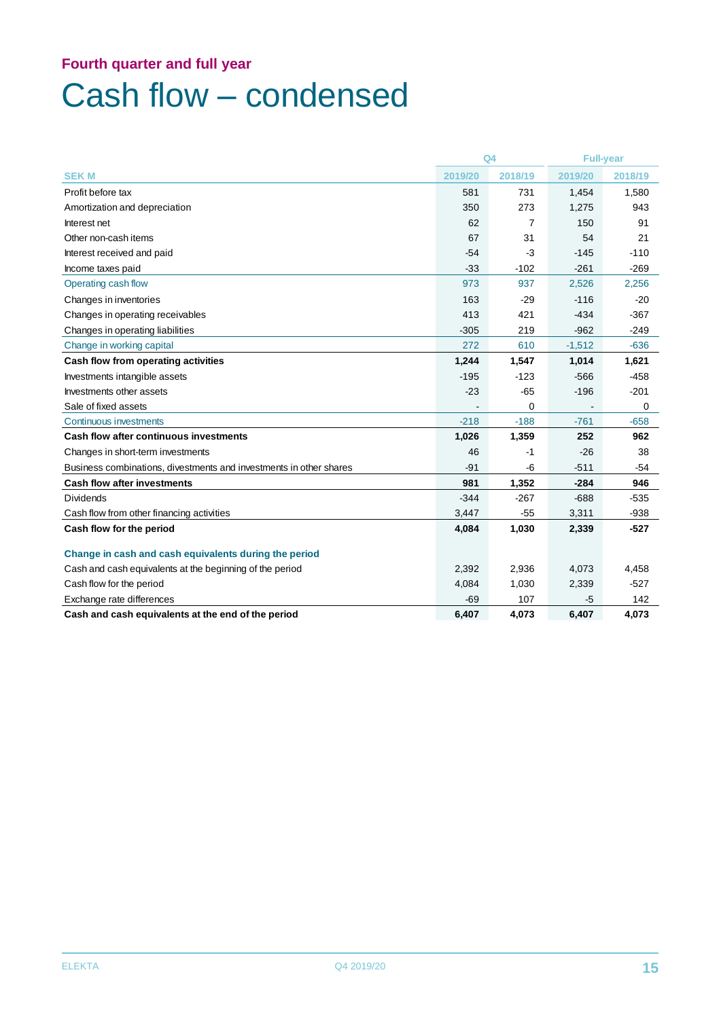# Cash flow – condensed

|                                                                    | Q <sub>4</sub> |                | <b>Full-year</b> |         |
|--------------------------------------------------------------------|----------------|----------------|------------------|---------|
| <b>SEKM</b>                                                        | 2019/20        | 2018/19        | 2019/20          | 2018/19 |
| Profit before tax                                                  | 581            | 731            | 1,454            | 1,580   |
| Amortization and depreciation                                      | 350            | 273            | 1,275            | 943     |
| Interest net                                                       | 62             | $\overline{7}$ | 150              | 91      |
| Other non-cash items                                               | 67             | 31             | 54               | 21      |
| Interest received and paid                                         | $-54$          | $-3$           | $-145$           | $-110$  |
| Income taxes paid                                                  | $-33$          | $-102$         | $-261$           | $-269$  |
| Operating cash flow                                                | 973            | 937            | 2,526            | 2,256   |
| Changes in inventories                                             | 163            | $-29$          | $-116$           | $-20$   |
| Changes in operating receivables                                   | 413            | 421            | $-434$           | $-367$  |
| Changes in operating liabilities                                   | $-305$         | 219            | $-962$           | $-249$  |
| Change in working capital                                          | 272            | 610            | $-1,512$         | $-636$  |
| Cash flow from operating activities                                | 1,244          | 1,547          | 1,014            | 1,621   |
| Investments intangible assets                                      | $-195$         | $-123$         | $-566$           | $-458$  |
| Investments other assets                                           | $-23$          | $-65$          | $-196$           | $-201$  |
| Sale of fixed assets                                               |                | 0              |                  | 0       |
| Continuous investments                                             | $-218$         | $-188$         | $-761$           | $-658$  |
| <b>Cash flow after continuous investments</b>                      | 1,026          | 1,359          | 252              | 962     |
| Changes in short-term investments                                  | 46             | -1             | $-26$            | 38      |
| Business combinations, divestments and investments in other shares | $-91$          | -6             | $-511$           | $-54$   |
| <b>Cash flow after investments</b>                                 | 981            | 1,352          | $-284$           | 946     |
| <b>Dividends</b>                                                   | $-344$         | $-267$         | $-688$           | $-535$  |
| Cash flow from other financing activities                          | 3,447          | $-55$          | 3,311            | $-938$  |
| Cash flow for the period                                           | 4,084          | 1,030          | 2,339            | $-527$  |
| Change in cash and cash equivalents during the period              |                |                |                  |         |
| Cash and cash equivalents at the beginning of the period           | 2,392          | 2,936          | 4,073            | 4,458   |
| Cash flow for the period                                           | 4,084          | 1,030          | 2,339            | $-527$  |
| Exchange rate differences                                          | $-69$          | 107            | -5               | 142     |
| Cash and cash equivalents at the end of the period                 | 6,407          | 4,073          | 6,407            | 4,073   |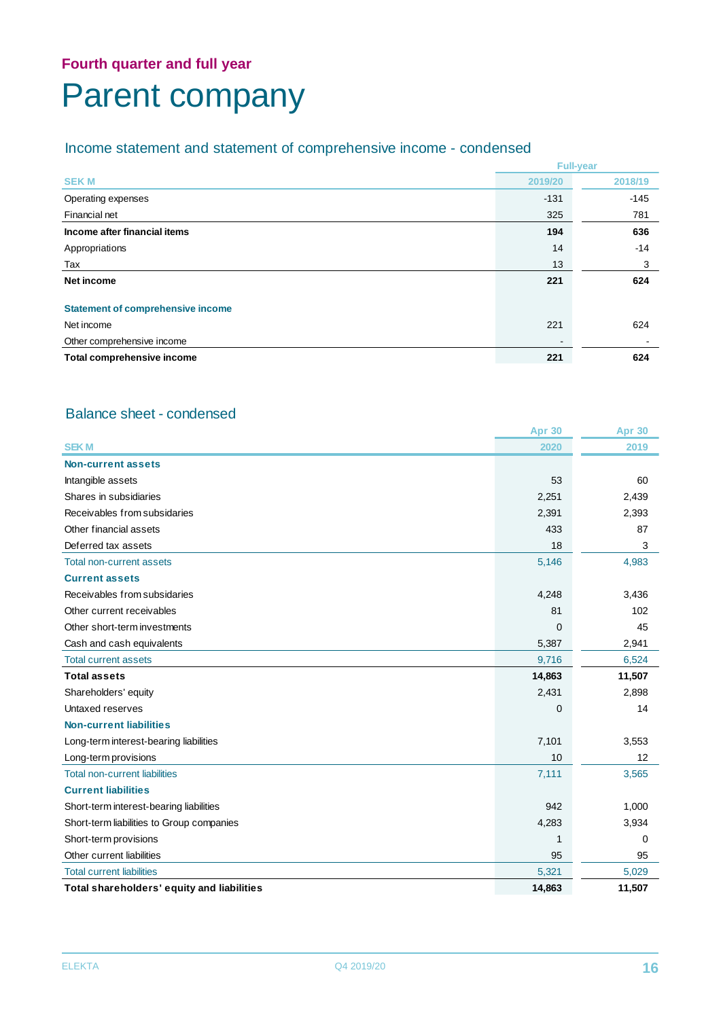## **Fourth quarter and full year** Parent company

## Income statement and statement of comprehensive income - condensed

|                                          | <b>Full-year</b>         |         |  |
|------------------------------------------|--------------------------|---------|--|
| <b>SEKM</b>                              | 2019/20                  | 2018/19 |  |
| Operating expenses                       | $-131$                   | $-145$  |  |
| Financial net                            | 325                      | 781     |  |
| Income after financial items             | 194                      | 636     |  |
| Appropriations                           | 14                       | -14     |  |
| Tax                                      | 13                       | 3       |  |
| Net income                               | 221                      | 624     |  |
| <b>Statement of comprehensive income</b> |                          |         |  |
| Net income                               | 221                      | 624     |  |
| Other comprehensive income               | $\overline{\phantom{a}}$ |         |  |
| Total comprehensive income               | 221                      | 624     |  |

### Balance sheet - condensed

|                                            | <b>Apr 30</b> | <b>Apr 30</b> |
|--------------------------------------------|---------------|---------------|
| <b>SEKM</b>                                | 2020          | 2019          |
| Non-current assets                         |               |               |
| Intangible assets                          | 53            | 60            |
| Shares in subsidiaries                     | 2,251         | 2,439         |
| Receivables from subsidaries               | 2,391         | 2,393         |
| Other financial assets                     | 433           | 87            |
| Deferred tax assets                        | 18            | 3             |
| <b>Total non-current assets</b>            | 5,146         | 4,983         |
| <b>Current assets</b>                      |               |               |
| Receivables from subsidaries               | 4,248         | 3,436         |
| Other current receivables                  | 81            | 102           |
| Other short-term investments               | $\mathbf 0$   | 45            |
| Cash and cash equivalents                  | 5,387         | 2,941         |
| <b>Total current assets</b>                | 9,716         | 6,524         |
| <b>Total assets</b>                        | 14,863        | 11,507        |
| Shareholders' equity                       | 2,431         | 2,898         |
| Untaxed reserves                           | $\mathbf 0$   | 14            |
| <b>Non-current liabilities</b>             |               |               |
| Long-term interest-bearing liabilities     | 7,101         | 3,553         |
| Long-term provisions                       | 10            | 12            |
| <b>Total non-current liabilities</b>       | 7,111         | 3,565         |
| <b>Current liabilities</b>                 |               |               |
| Short-term interest-bearing liabilities    | 942           | 1,000         |
| Short-term liabilities to Group companies  | 4,283         | 3,934         |
| Short-term provisions                      | 1             | 0             |
| Other current liabilities                  | 95            | 95            |
| <b>Total current liabilities</b>           | 5,321         | 5,029         |
| Total shareholders' equity and liabilities | 14,863        | 11,507        |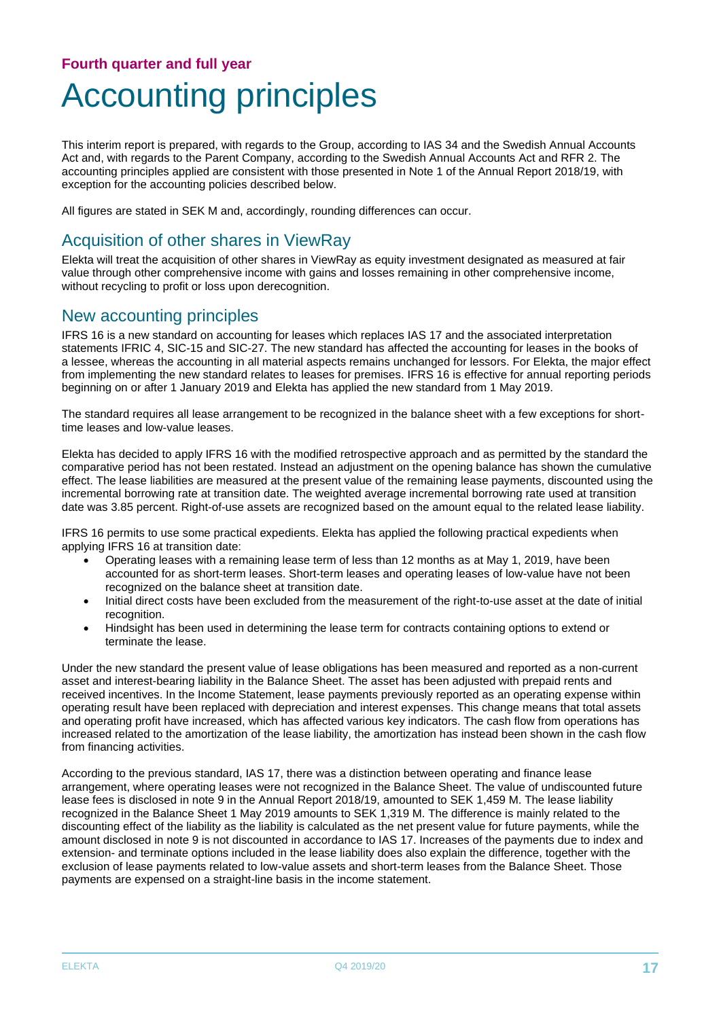## **Fourth quarter and full year** Accounting principles

This interim report is prepared, with regards to the Group, according to IAS 34 and the Swedish Annual Accounts Act and, with regards to the Parent Company, according to the Swedish Annual Accounts Act and RFR 2. The accounting principles applied are consistent with those presented in Note 1 of the Annual Report 2018/19, with exception for the accounting policies described below.

All figures are stated in SEK M and, accordingly, rounding differences can occur.

### Acquisition of other shares in ViewRay

Elekta will treat the acquisition of other shares in ViewRay as equity investment designated as measured at fair value through other comprehensive income with gains and losses remaining in other comprehensive income, without recycling to profit or loss upon derecognition.

### New accounting principles

IFRS 16 is a new standard on accounting for leases which replaces IAS 17 and the associated interpretation statements IFRIC 4, SIC-15 and SIC-27. The new standard has affected the accounting for leases in the books of a lessee, whereas the accounting in all material aspects remains unchanged for lessors. For Elekta, the major effect from implementing the new standard relates to leases for premises. IFRS 16 is effective for annual reporting periods beginning on or after 1 January 2019 and Elekta has applied the new standard from 1 May 2019.

The standard requires all lease arrangement to be recognized in the balance sheet with a few exceptions for shorttime leases and low-value leases.

Elekta has decided to apply IFRS 16 with the modified retrospective approach and as permitted by the standard the comparative period has not been restated. Instead an adjustment on the opening balance has shown the cumulative effect. The lease liabilities are measured at the present value of the remaining lease payments, discounted using the incremental borrowing rate at transition date. The weighted average incremental borrowing rate used at transition date was 3.85 percent. Right-of-use assets are recognized based on the amount equal to the related lease liability.

IFRS 16 permits to use some practical expedients. Elekta has applied the following practical expedients when applying IFRS 16 at transition date:

- Operating leases with a remaining lease term of less than 12 months as at May 1, 2019, have been accounted for as short-term leases. Short-term leases and operating leases of low-value have not been recognized on the balance sheet at transition date.
- Initial direct costs have been excluded from the measurement of the right-to-use asset at the date of initial recognition.
- Hindsight has been used in determining the lease term for contracts containing options to extend or terminate the lease.

Under the new standard the present value of lease obligations has been measured and reported as a non-current asset and interest-bearing liability in the Balance Sheet. The asset has been adjusted with prepaid rents and received incentives. In the Income Statement, lease payments previously reported as an operating expense within operating result have been replaced with depreciation and interest expenses. This change means that total assets and operating profit have increased, which has affected various key indicators. The cash flow from operations has increased related to the amortization of the lease liability, the amortization has instead been shown in the cash flow from financing activities.

According to the previous standard, IAS 17, there was a distinction between operating and finance lease arrangement, where operating leases were not recognized in the Balance Sheet. The value of undiscounted future lease fees is disclosed in note 9 in the Annual Report 2018/19, amounted to SEK 1,459 M. The lease liability recognized in the Balance Sheet 1 May 2019 amounts to SEK 1,319 M. The difference is mainly related to the discounting effect of the liability as the liability is calculated as the net present value for future payments, while the amount disclosed in note 9 is not discounted in accordance to IAS 17. Increases of the payments due to index and extension- and terminate options included in the lease liability does also explain the difference, together with the exclusion of lease payments related to low-value assets and short-term leases from the Balance Sheet. Those payments are expensed on a straight-line basis in the income statement.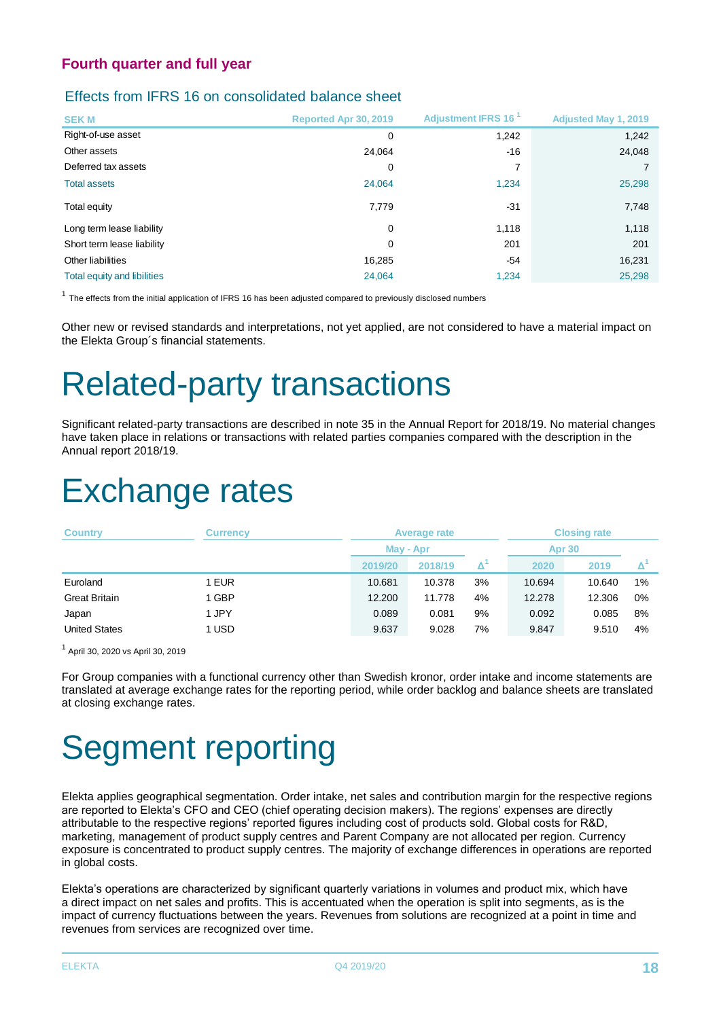#### Effects from IFRS 16 on consolidated balance sheet

| <b>SEKM</b>                 | Reported Apr 30, 2019 | Adjustment IFRS 16 <sup>1</sup> | <b>Adjusted May 1, 2019</b> |
|-----------------------------|-----------------------|---------------------------------|-----------------------------|
| Right-of-use asset          | $\mathbf 0$           | 1,242                           | 1,242                       |
| Other assets                | 24.064                | $-16$                           | 24,048                      |
| Deferred tax assets         | 0                     | 7                               |                             |
| <b>Total assets</b>         | 24,064                | 1,234                           | 25,298                      |
| Total equity                | 7,779                 | $-31$                           | 7,748                       |
| Long term lease liability   | 0                     | 1.118                           | 1,118                       |
| Short term lease liability  | 0                     | 201                             | 201                         |
| Other liabilities           | 16,285                | $-54$                           | 16,231                      |
| Total equity and libilities | 24.064                | 1.234                           | 25,298                      |

 $<sup>1</sup>$  The effects from the initial application of IFRS 16 has been adjusted compared to previously disclosed numbers</sup>

Other new or revised standards and interpretations, not yet applied, are not considered to have a material impact on the Elekta Group´s financial statements.

# Related-party transactions

Significant related-party transactions are described in note 35 in the Annual Report for 2018/19. No material changes have taken place in relations or transactions with related parties companies compared with the description in the Annual report 2018/19.

# Exchange rates

| <b>Country</b>       | <b>Currency</b> |         | Average rate |    |        | <b>Closing rate</b> |        |  |  |
|----------------------|-----------------|---------|--------------|----|--------|---------------------|--------|--|--|
|                      |                 |         | May - Apr    |    |        |                     | Apr 30 |  |  |
|                      |                 | 2019/20 | 2018/19      |    | 2020   | 2019                |        |  |  |
| Euroland             | 1 EUR           | 10.681  | 10.378       | 3% | 10.694 | 10.640              | 1%     |  |  |
| <b>Great Britain</b> | 1 GBP           | 12.200  | 11.778       | 4% | 12.278 | 12.306              | 0%     |  |  |
| Japan                | 1 JPY           | 0.089   | 0.081        | 9% | 0.092  | 0.085               | 8%     |  |  |
| <b>United States</b> | 1 USD           | 9.637   | 9.028        | 7% | 9.847  | 9.510               | 4%     |  |  |

<sup>1</sup> April 30, 2020 vs April 30, 2019

For Group companies with a functional currency other than Swedish kronor, order intake and income statements are translated at average exchange rates for the reporting period, while order backlog and balance sheets are translated at closing exchange rates.

# Segment reporting

Elekta applies geographical segmentation. Order intake, net sales and contribution margin for the respective regions are reported to Elekta's CFO and CEO (chief operating decision makers). The regions' expenses are directly attributable to the respective regions' reported figures including cost of products sold. Global costs for R&D, marketing, management of product supply centres and Parent Company are not allocated per region. Currency exposure is concentrated to product supply centres. The majority of exchange differences in operations are reported in global costs.

Elekta's operations are characterized by significant quarterly variations in volumes and product mix, which have a direct impact on net sales and profits. This is accentuated when the operation is split into segments, as is the impact of currency fluctuations between the years. Revenues from solutions are recognized at a point in time and revenues from services are recognized over time.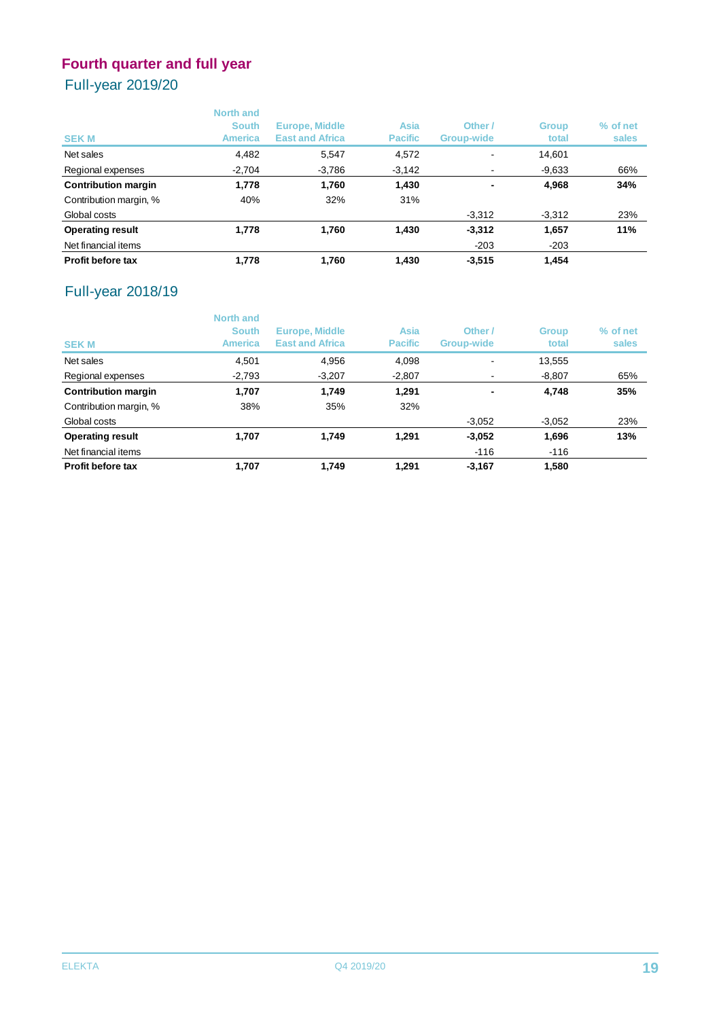## Full-year 2019/20

| <b>SEKM</b>                | <b>North and</b><br><b>South</b><br><b>America</b> | <b>Europe, Middle</b><br><b>East and Africa</b> | <b>Asia</b><br><b>Pacific</b> | Other /<br><b>Group-wide</b> | <b>Group</b><br>total | % of net<br>sales |
|----------------------------|----------------------------------------------------|-------------------------------------------------|-------------------------------|------------------------------|-----------------------|-------------------|
| Net sales                  | 4,482                                              | 5,547                                           | 4,572                         |                              | 14.601                |                   |
| Regional expenses          | $-2,704$                                           | -3,786                                          | $-3,142$                      |                              | $-9,633$              | 66%               |
| <b>Contribution margin</b> | 1,778                                              | 1.760                                           | 1,430                         | $\blacksquare$               | 4,968                 | 34%               |
| Contribution margin, %     | 40%                                                | 32%                                             | 31%                           |                              |                       |                   |
| Global costs               |                                                    |                                                 |                               | $-3,312$                     | $-3,312$              | 23%               |
| <b>Operating result</b>    | 1,778                                              | 1.760                                           | 1,430                         | $-3,312$                     | 1,657                 | 11%               |
| Net financial items        |                                                    |                                                 |                               | $-203$                       | $-203$                |                   |
| <b>Profit before tax</b>   | 1.778                                              | 1.760                                           | 1,430                         | $-3,515$                     | 1.454                 |                   |

## Full-year 2018/19

| <b>SEKM</b>                | <b>North and</b><br><b>South</b><br><b>America</b> | Europe, Middle<br><b>East and Africa</b> | <b>Asia</b><br><b>Pacific</b> | Other /<br><b>Group-wide</b> | <b>Group</b><br>total | % of net<br>sales |
|----------------------------|----------------------------------------------------|------------------------------------------|-------------------------------|------------------------------|-----------------------|-------------------|
| Net sales                  | 4,501                                              | 4,956                                    | 4,098                         |                              | 13,555                |                   |
| Regional expenses          | $-2,793$                                           | $-3,207$                                 | $-2,807$                      |                              | $-8,807$              | 65%               |
| <b>Contribution margin</b> | 1.707                                              | 1.749                                    | 1,291                         |                              | 4.748                 | 35%               |
| Contribution margin, %     | 38%                                                | 35%                                      | 32%                           |                              |                       |                   |
| Global costs               |                                                    |                                          |                               | $-3,052$                     | $-3.052$              | 23%               |
| <b>Operating result</b>    | 1.707                                              | 1,749                                    | 1.291                         | $-3,052$                     | 1,696                 | 13%               |
| Net financial items        |                                                    |                                          |                               | $-116$                       | $-116$                |                   |
| <b>Profit before tax</b>   | 1.707                                              | 1.749                                    | 1.291                         | $-3,167$                     | 1,580                 |                   |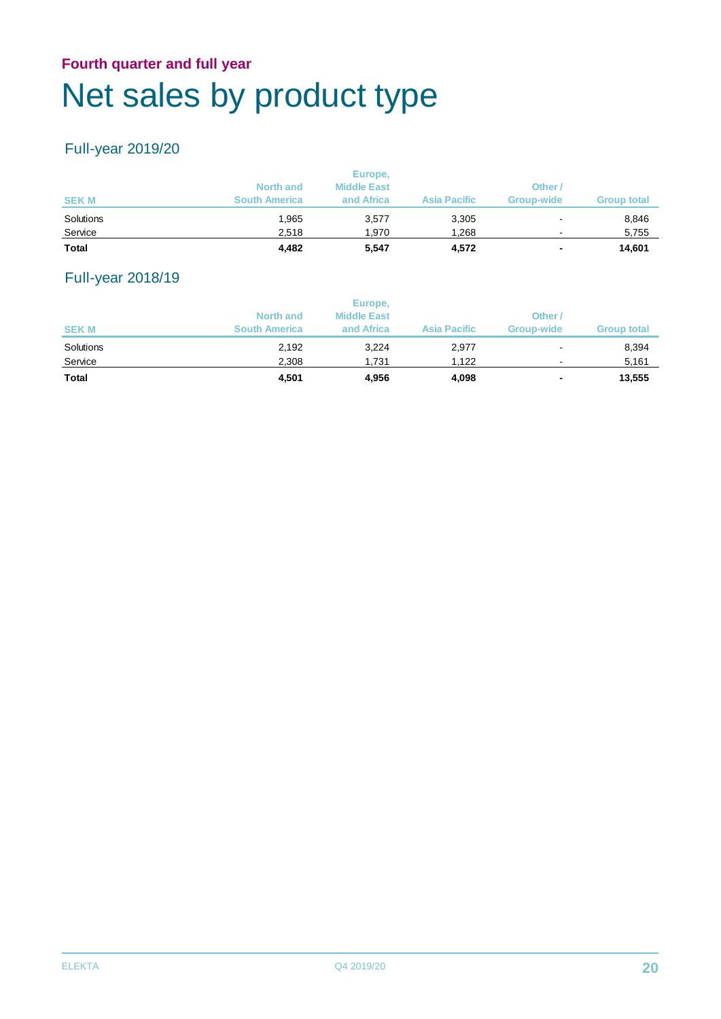## **Fourth quarter and full year** Net sales by product type

## Full-year 2019/20

| <b>Total</b> | 4,482                | 5,547                         | 4,572               | $\overline{\phantom{0}}$ | 14,601             |
|--------------|----------------------|-------------------------------|---------------------|--------------------------|--------------------|
| Service      | 2,518                | 1.970                         | 1,268               | $\sim$                   | 5,755              |
| Solutions    | 1.965                | 3,577                         | 3,305               | $\overline{\phantom{a}}$ | 8,846              |
| <b>SEKM</b>  | <b>South America</b> | and Africa                    | <b>Asia Pacific</b> | <b>Group-wide</b>        | <b>Group total</b> |
|              | <b>North and</b>     | Europe,<br><b>Middle East</b> |                     | Other                    |                    |

## Full-year 2018/19

| <b>SEKM</b> | <b>North and</b><br><b>South America</b> | Europe,<br><b>Middle East</b><br>and Africa | <b>Asia Pacific</b> | Other<br><b>Group-wide</b> | <b>Group total</b> |
|-------------|------------------------------------------|---------------------------------------------|---------------------|----------------------------|--------------------|
| Solutions   | 2,192                                    | 3,224                                       | 2,977               | $\blacksquare$             | 8,394              |
| Service     | 2.308                                    | 1.731                                       | 1.122               | ٠                          | 5,161              |
| Total       | 4,501                                    | 4,956                                       | 4,098               | ۰                          | 13,555             |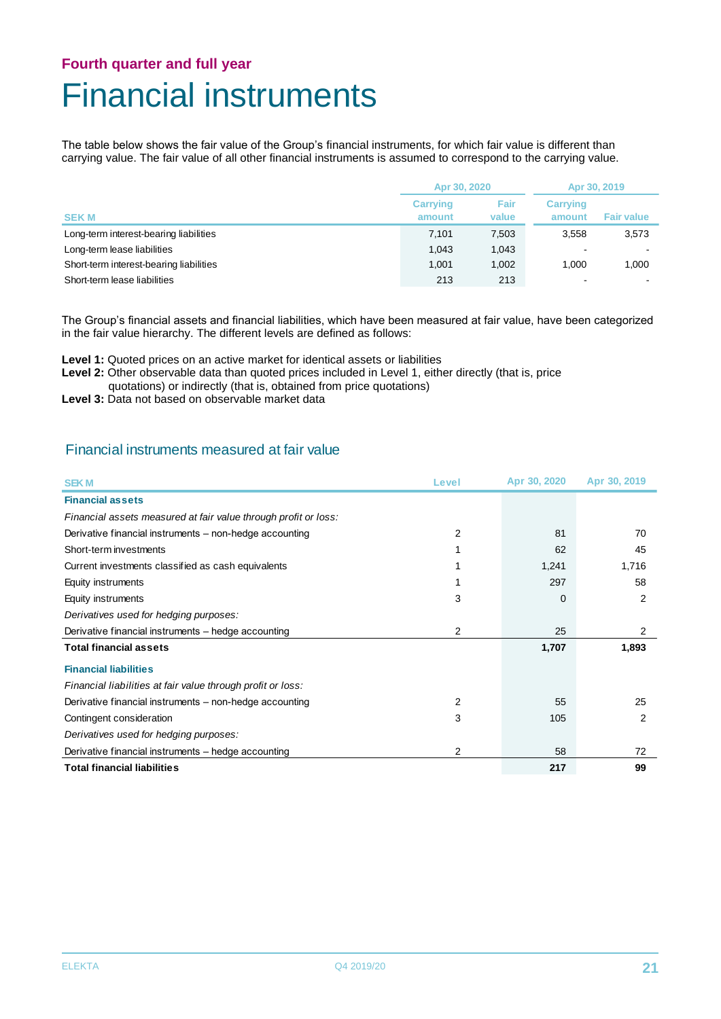## **Fourth quarter and full year** Financial instruments

The table below shows the fair value of the Group's financial instruments, for which fair value is different than carrying value. The fair value of all other financial instruments is assumed to correspond to the carrying value.

|                                         | Apr 30, 2020              |               | Apr 30, 2019              |                   |
|-----------------------------------------|---------------------------|---------------|---------------------------|-------------------|
| <b>SEKM</b>                             | <b>Carrying</b><br>amount | Fair<br>value | <b>Carrying</b><br>amount | <b>Fair value</b> |
| Long-term interest-bearing liabilities  | 7.101                     | 7,503         | 3.558                     | 3,573             |
| Long-term lease liabilities             | 1.043                     | 1.043         |                           |                   |
| Short-term interest-bearing liabilities | 1.001                     | 1,002         | 1.000                     | 1.000             |
| Short-term lease liabilities            | 213                       | 213           | $\overline{\phantom{0}}$  |                   |

The Group's financial assets and financial liabilities, which have been measured at fair value, have been categorized in the fair value hierarchy. The different levels are defined as follows:

**Level 1:** Quoted prices on an active market for identical assets or liabilities

Level 2: Other observable data than quoted prices included in Level 1, either directly (that is, price

- quotations) or indirectly (that is, obtained from price quotations)
- **Level 3:** Data not based on observable market data

#### Financial instruments measured at fair value

| <b>SEKM</b>                                                     | Level | Apr 30, 2020 | Apr 30, 2019 |
|-----------------------------------------------------------------|-------|--------------|--------------|
| <b>Financial assets</b>                                         |       |              |              |
| Financial assets measured at fair value through profit or loss: |       |              |              |
| Derivative financial instruments - non-hedge accounting         | 2     | 81           | 70           |
| Short-term investments                                          |       | 62           | 45           |
| Current investments classified as cash equivalents              |       | 1,241        | 1,716        |
| Equity instruments                                              |       | 297          | 58           |
| Equity instruments                                              | 3     | 0            | 2            |
| Derivatives used for hedging purposes:                          |       |              |              |
| Derivative financial instruments – hedge accounting             | 2     | 25           | 2            |
| <b>Total financial assets</b>                                   |       | 1,707        | 1,893        |
| <b>Financial liabilities</b>                                    |       |              |              |
| Financial liabilities at fair value through profit or loss:     |       |              |              |
| Derivative financial instruments - non-hedge accounting         | 2     | 55           | 25           |
| Contingent consideration                                        | 3     | 105          | 2            |
| Derivatives used for hedging purposes:                          |       |              |              |
| Derivative financial instruments – hedge accounting             | 2     | 58           | 72           |
| <b>Total financial liabilities</b>                              |       | 217          | 99           |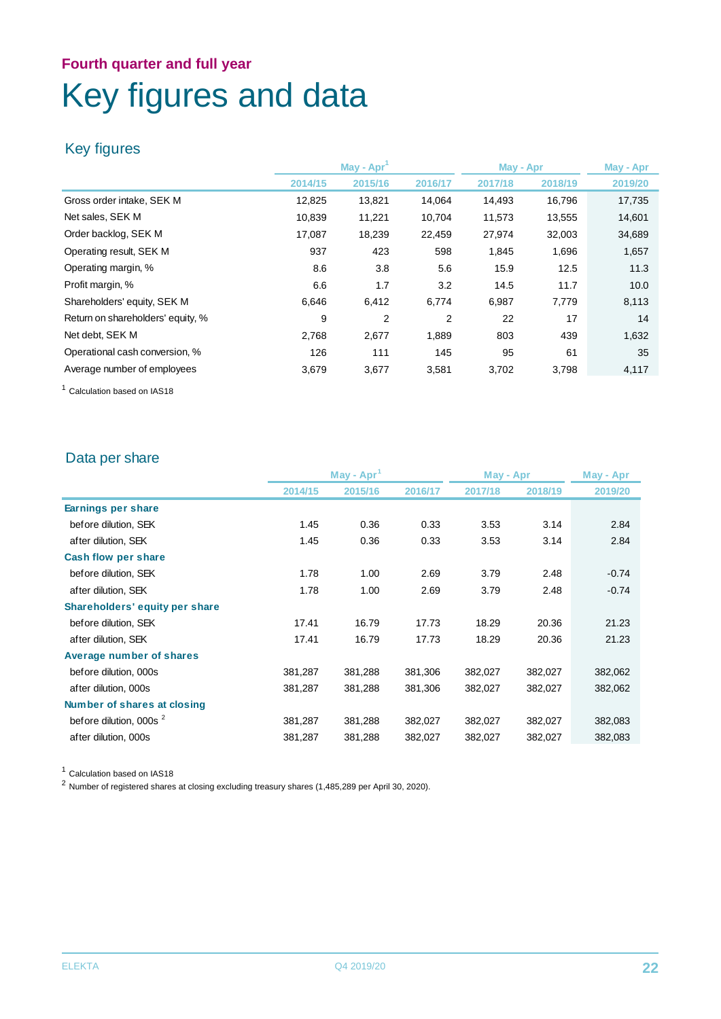## **Fourth quarter and full year** Key figures and data

### Key figures

|                                   |         | May - Apr      |                |         | May - Apr | May - Apr |  |
|-----------------------------------|---------|----------------|----------------|---------|-----------|-----------|--|
|                                   | 2014/15 | 2015/16        | 2016/17        | 2017/18 | 2018/19   | 2019/20   |  |
| Gross order intake, SEK M         | 12,825  | 13,821         | 14,064         | 14,493  | 16,796    | 17,735    |  |
| Net sales, SEK M                  | 10,839  | 11,221         | 10,704         | 11,573  | 13,555    | 14,601    |  |
| Order backlog, SEK M              | 17,087  | 18,239         | 22,459         | 27,974  | 32,003    | 34,689    |  |
| Operating result, SEK M           | 937     | 423            | 598            | 1,845   | 1,696     | 1,657     |  |
| Operating margin, %               | 8.6     | 3.8            | 5.6            | 15.9    | 12.5      | 11.3      |  |
| Profit margin, %                  | 6.6     | 1.7            | 3.2            | 14.5    | 11.7      | 10.0      |  |
| Shareholders' equity, SEK M       | 6.646   | 6,412          | 6,774          | 6,987   | 7,779     | 8,113     |  |
| Return on shareholders' equity, % | 9       | $\overline{2}$ | $\overline{2}$ | 22      | 17        | 14        |  |
| Net debt, SEK M                   | 2,768   | 2,677          | 1,889          | 803     | 439       | 1,632     |  |
| Operational cash conversion, %    | 126     | 111            | 145            | 95      | 61        | 35        |  |
| Average number of employees       | 3.679   | 3.677          | 3,581          | 3,702   | 3,798     | 4,117     |  |

<sup>1</sup> Calculation based on IAS18

### Data per share

|                                    | $May - Apr1$ |         |         | May - Apr |         | May - Apr |
|------------------------------------|--------------|---------|---------|-----------|---------|-----------|
|                                    | 2014/15      | 2015/16 | 2016/17 | 2017/18   | 2018/19 | 2019/20   |
| Earnings per share                 |              |         |         |           |         |           |
| before dilution, SEK               | 1.45         | 0.36    | 0.33    | 3.53      | 3.14    | 2.84      |
| after dilution, SEK                | 1.45         | 0.36    | 0.33    | 3.53      | 3.14    | 2.84      |
| Cash flow per share                |              |         |         |           |         |           |
| before dilution, SEK               | 1.78         | 1.00    | 2.69    | 3.79      | 2.48    | $-0.74$   |
| after dilution, SEK                | 1.78         | 1.00    | 2.69    | 3.79      | 2.48    | $-0.74$   |
| Shareholders' equity per share     |              |         |         |           |         |           |
| before dilution, SEK               | 17.41        | 16.79   | 17.73   | 18.29     | 20.36   | 21.23     |
| after dilution, SEK                | 17.41        | 16.79   | 17.73   | 18.29     | 20.36   | 21.23     |
| Average number of shares           |              |         |         |           |         |           |
| before dilution, 000s              | 381,287      | 381,288 | 381,306 | 382,027   | 382,027 | 382,062   |
| after dilution, 000s               | 381,287      | 381,288 | 381,306 | 382,027   | 382,027 | 382,062   |
| Number of shares at closing        |              |         |         |           |         |           |
| before dilution, 000s <sup>2</sup> | 381,287      | 381,288 | 382,027 | 382,027   | 382,027 | 382,083   |
| after dilution, 000s               | 381,287      | 381,288 | 382,027 | 382,027   | 382,027 | 382,083   |

<sup>1</sup> Calculation based on IAS18

<sup>2</sup> Number of registered shares at closing excluding treasury shares (1,485,289 per April 30, 2020).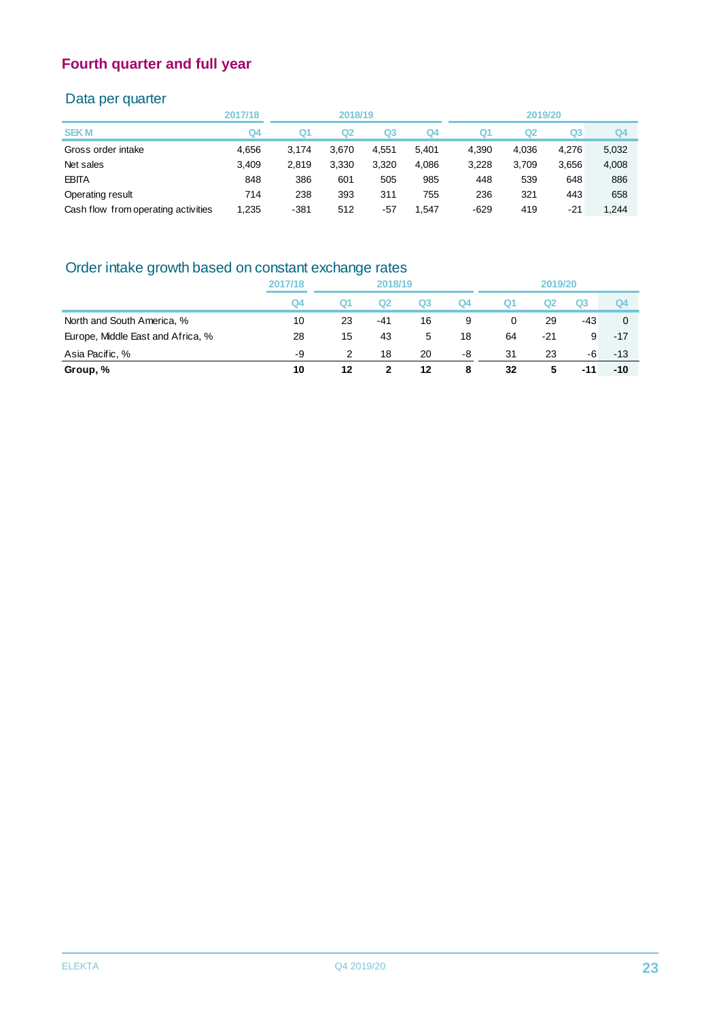### Data per quarter

|                                     | 2017/18 |        | 2018/19 |                |       |        | 2019/20 |                |                |
|-------------------------------------|---------|--------|---------|----------------|-------|--------|---------|----------------|----------------|
| <b>SEK M</b>                        | Q4      | Q1     | Q2      | Q <sub>3</sub> | Q4    | Q1     | Q2      | Q <sub>3</sub> | Q <sub>4</sub> |
| Gross order intake                  | 4.656   | 3.174  | 3.670   | 4.551          | 5.401 | 4.390  | 4.036   | 4.276          | 5,032          |
| Net sales                           | 3,409   | 2.819  | 3,330   | 3,320          | 4,086 | 3,228  | 3.709   | 3,656          | 4,008          |
| <b>EBITA</b>                        | 848     | 386    | 601     | 505            | 985   | 448    | 539     | 648            | 886            |
| Operating result                    | 714     | 238    | 393     | 311            | 755   | 236    | 321     | 443            | 658            |
| Cash flow from operating activities | 1,235   | $-381$ | 512     | $-57$          | 1.547 | $-629$ | 419     | $-21$          | 1.244          |
|                                     |         |        |         |                |       |        |         |                |                |

## Order intake growth based on constant exchange rates

|                                   | 2017/18 | 2018/19 |     |    |    | 2019/20 |     |       |       |
|-----------------------------------|---------|---------|-----|----|----|---------|-----|-------|-------|
|                                   | Q4      | Q1      | Q2  | Q3 | Q4 | Q1      |     | Q3    | Q4    |
| North and South America, %        | 10      | 23      | -41 | 16 | 9  | 0       | 29  | $-43$ | 0     |
| Europe, Middle East and Africa, % | 28      | 15      | 43  | 5  | 18 | 64      | -21 | 9     | $-17$ |
| Asia Pacific, %                   | -9      | 2       | 18  | 20 | -8 | 31      | 23  | -6    | $-13$ |
| Group, %                          | 10      | 12      |     | 12 | 8  | 32      | 5   | -11   | $-10$ |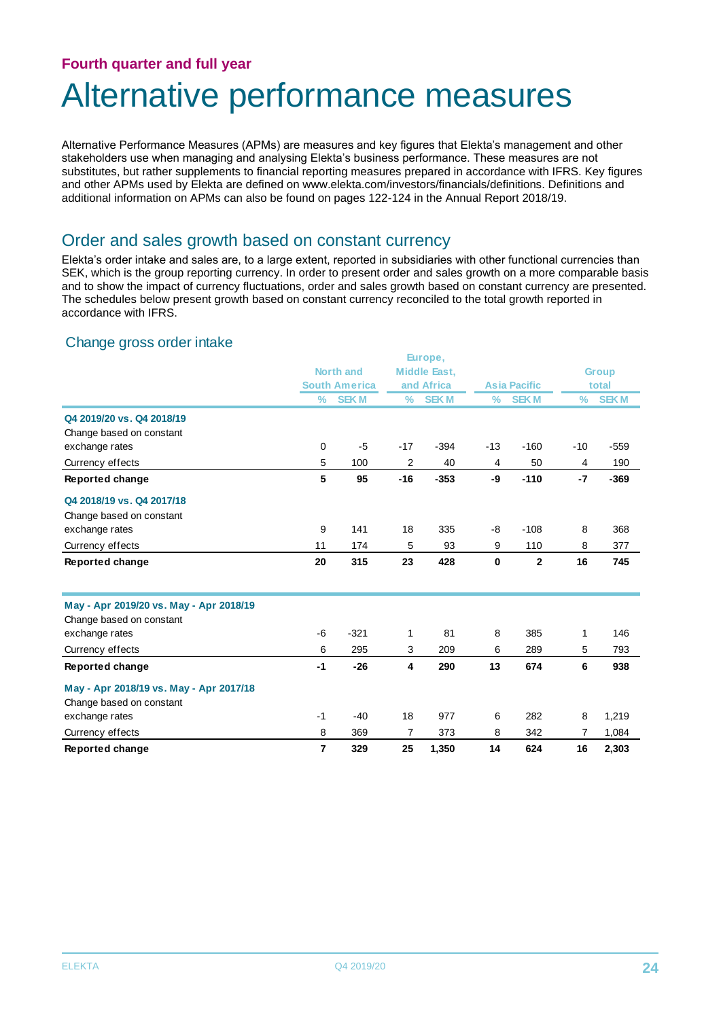# Alternative performance measures

Alternative Performance Measures (APMs) are measures and key figures that Elekta's management and other stakeholders use when managing and analysing Elekta's business performance. These measures are not substitutes, but rather supplements to financial reporting measures prepared in accordance with IFRS. Key figures and other APMs used by Elekta are defined on www.elekta.com/investors/financials/definitions. Definitions and additional information on APMs can also be found on pages 122-124 in the Annual Report 2018/19.

### Order and sales growth based on constant currency

Elekta's order intake and sales are, to a large extent, reported in subsidiaries with other functional currencies than SEK, which is the group reporting currency. In order to present order and sales growth on a more comparable basis and to show the impact of currency fluctuations, order and sales growth based on constant currency are presented. The schedules below present growth based on constant currency reconciled to the total growth reported in accordance with IFRS.

#### Change gross order intake

|                                         |               |                      |                | Europe,             |               |                     |               |              |
|-----------------------------------------|---------------|----------------------|----------------|---------------------|---------------|---------------------|---------------|--------------|
|                                         |               | <b>North and</b>     |                | <b>Middle East,</b> |               |                     |               | <b>Group</b> |
|                                         |               | <b>South America</b> |                | and Africa          |               | <b>Asia Pacific</b> |               | total        |
|                                         | $\frac{9}{6}$ | <b>SEKM</b>          | $\frac{9}{6}$  | <b>SEKM</b>         | $\frac{0}{0}$ | <b>SEKM</b>         | $\frac{0}{0}$ | <b>SEKM</b>  |
| Q4 2019/20 vs. Q4 2018/19               |               |                      |                |                     |               |                     |               |              |
| Change based on constant                |               |                      |                |                     |               |                     |               |              |
| exchange rates                          | $\mathbf 0$   | $-5$                 | $-17$          | $-394$              | $-13$         | $-160$              | $-10$         | $-559$       |
| Currency effects                        | 5             | 100                  | 2              | 40                  | 4             | 50                  | 4             | 190          |
| Reported change                         | 5             | 95                   | $-16$          | $-353$              | -9            | $-110$              | $-7$          | $-369$       |
| Q4 2018/19 vs. Q4 2017/18               |               |                      |                |                     |               |                     |               |              |
| Change based on constant                |               |                      |                |                     |               |                     |               |              |
| exchange rates                          | 9             | 141                  | 18             | 335                 | -8            | $-108$              | 8             | 368          |
| Currency effects                        | 11            | 174                  | 5              | 93                  | 9             | 110                 | 8             | 377          |
| Reported change                         | 20            | 315                  | 23             | 428                 | $\mathbf 0$   | $\overline{2}$      | 16            | 745          |
| May - Apr 2019/20 vs. May - Apr 2018/19 |               |                      |                |                     |               |                     |               |              |
| Change based on constant                |               |                      |                |                     |               |                     |               |              |
| exchange rates                          | $-6$          | $-321$               | 1              | 81                  | 8             | 385                 | 1             | 146          |
| Currency effects                        | 6             | 295                  | 3              | 209                 | 6             | 289                 | 5             | 793          |
| Reported change                         | $-1$          | $-26$                | 4              | 290                 | 13            | 674                 | 6             | 938          |
| May - Apr 2018/19 vs. May - Apr 2017/18 |               |                      |                |                     |               |                     |               |              |
| Change based on constant                |               |                      |                |                     |               |                     |               |              |
| exchange rates                          | $-1$          | $-40$                | 18             | 977                 | 6             | 282                 | 8             | 1,219        |
| Currency effects                        | 8             | 369                  | $\overline{7}$ | 373                 | 8             | 342                 | 7             | 1,084        |
| Reported change                         | 7             | 329                  | 25             | 1,350               | 14            | 624                 | 16            | 2,303        |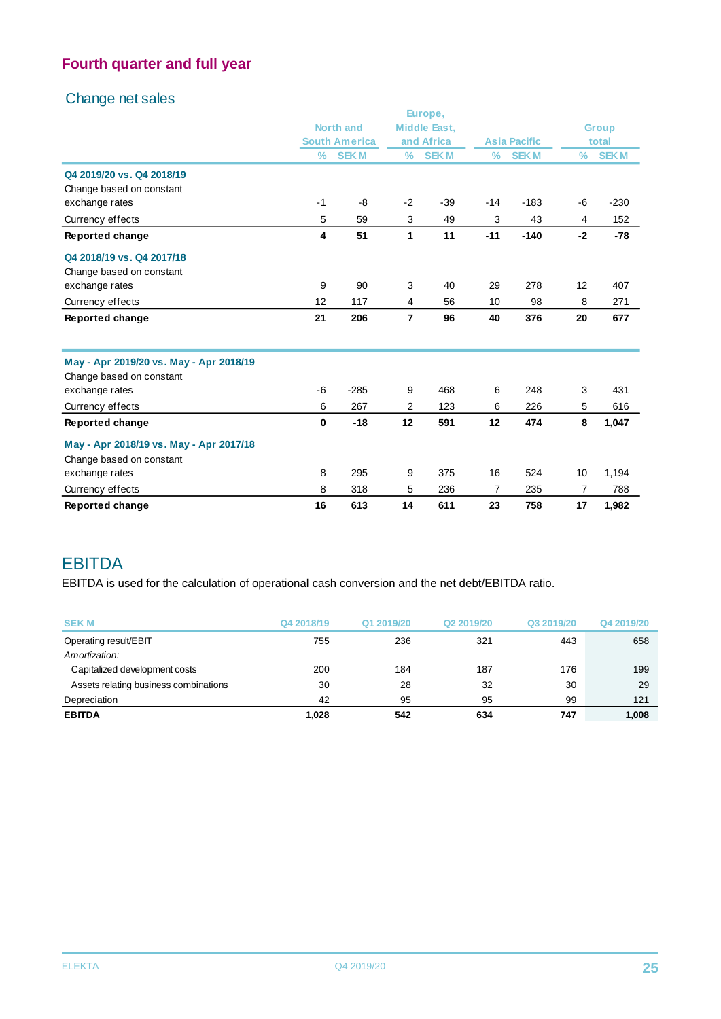### Change net sales

|                                         |                         |                      |                | Europe,             |       |                     |               |              |
|-----------------------------------------|-------------------------|----------------------|----------------|---------------------|-------|---------------------|---------------|--------------|
|                                         |                         | <b>North and</b>     |                | <b>Middle East,</b> |       |                     |               | <b>Group</b> |
|                                         |                         | <b>South America</b> |                | and Africa          |       | <b>Asia Pacific</b> |               | total        |
|                                         | $\frac{9}{6}$           | <b>SEKM</b>          | $\frac{0}{0}$  | <b>SEKM</b>         | $\%$  | <b>SEKM</b>         | $\frac{0}{0}$ | <b>SEKM</b>  |
| Q4 2019/20 vs. Q4 2018/19               |                         |                      |                |                     |       |                     |               |              |
| Change based on constant                |                         |                      |                |                     |       |                     |               |              |
| exchange rates                          | $-1$                    | -8                   | $-2$           | $-39$               | $-14$ | $-183$              | $-6$          | $-230$       |
| Currency effects                        | 5                       | 59                   | 3              | 49                  | 3     | 43                  | 4             | 152          |
| Reported change                         | $\overline{\mathbf{4}}$ | 51                   | $\mathbf{1}$   | 11                  | $-11$ | $-140$              | $-2$          | $-78$        |
| Q4 2018/19 vs. Q4 2017/18               |                         |                      |                |                     |       |                     |               |              |
| Change based on constant                |                         |                      |                |                     |       |                     |               |              |
| exchange rates                          | 9                       | 90                   | 3              | 40                  | 29    | 278                 | 12            | 407          |
| Currency effects                        | 12                      | 117                  | 4              | 56                  | 10    | 98                  | 8             | 271          |
| Reported change                         | 21                      | 206                  | $\overline{7}$ | 96                  | 40    | 376                 | 20            | 677          |
| May - Apr 2019/20 vs. May - Apr 2018/19 |                         |                      |                |                     |       |                     |               |              |
| Change based on constant                |                         |                      |                |                     |       |                     |               |              |
| exchange rates                          | $-6$                    | $-285$               | 9              | 468                 | 6     | 248                 | 3             | 431          |
| Currency effects                        | 6                       | 267                  | $\overline{2}$ | 123                 | 6     | 226                 | 5             | 616          |
| Reported change                         | $\mathbf 0$             | $-18$                | 12             | 591                 | 12    | 474                 | 8             | 1,047        |
| May - Apr 2018/19 vs. May - Apr 2017/18 |                         |                      |                |                     |       |                     |               |              |
| Change based on constant                |                         |                      |                |                     |       |                     |               |              |
| exchange rates                          | 8                       | 295                  | 9              | 375                 | 16    | 524                 | 10            | 1,194        |
| Currency effects                        | 8                       | 318                  | 5              | 236                 | 7     | 235                 | 7             | 788          |
| Reported change                         | 16                      | 613                  | 14             | 611                 | 23    | 758                 | 17            | 1,982        |

## EBITDA

EBITDA is used for the calculation of operational cash conversion and the net debt/EBITDA ratio.

| <b>SEKM</b>                           | Q4 2018/19 | Q1 2019/20 | Q2 2019/20 | Q3 2019/20 | Q4 2019/20 |
|---------------------------------------|------------|------------|------------|------------|------------|
| Operating result/EBIT                 | 755        | 236        | 321        | 443        | 658        |
| Amortization:                         |            |            |            |            |            |
| Capitalized development costs         | 200        | 184        | 187        | 176        | 199        |
| Assets relating business combinations | 30         | 28         | 32         | 30         | 29         |
| Depreciation                          | 42         | 95         | 95         | 99         | 121        |
| <b>EBITDA</b>                         | 1,028      | 542        | 634        | 747        | 1.008      |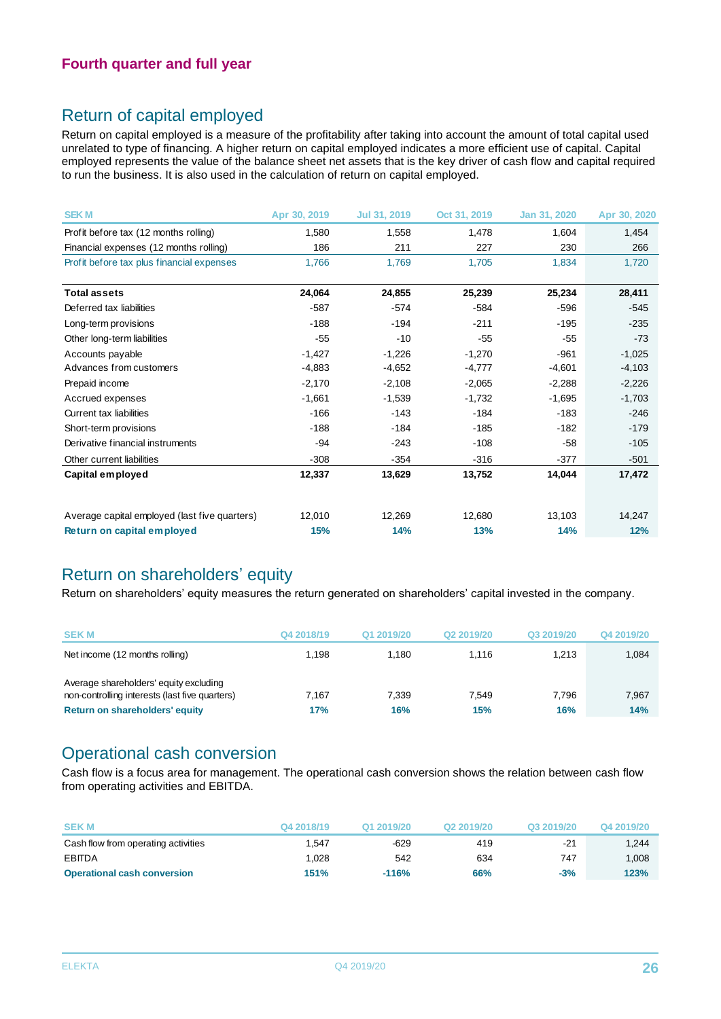### Return of capital employed

Return on capital employed is a measure of the profitability after taking into account the amount of total capital used unrelated to type of financing. A higher return on capital employed indicates a more efficient use of capital. Capital employed represents the value of the balance sheet net assets that is the key driver of cash flow and capital required to run the business. It is also used in the calculation of return on capital employed.

| <b>SEKM</b>                                   | Apr 30, 2019 | Jul 31, 2019 | Oct 31, 2019 | Jan 31, 2020 | Apr 30, 2020 |
|-----------------------------------------------|--------------|--------------|--------------|--------------|--------------|
| Profit before tax (12 months rolling)         | 1,580        | 1,558        | 1,478        | 1,604        | 1,454        |
| Financial expenses (12 months rolling)        | 186          | 211          | 227          | 230          | 266          |
| Profit before tax plus financial expenses     | 1.766        | 1.769        | 1.705        | 1,834        | 1,720        |
| <b>Total assets</b>                           | 24,064       | 24,855       | 25,239       | 25,234       | 28,411       |
| Deferred tax liabilities                      | $-587$       | $-574$       | $-584$       | $-596$       | $-545$       |
| Long-term provisions                          | $-188$       | $-194$       | $-211$       | $-195$       | $-235$       |
| Other long-term liabilities                   | $-55$        | $-10$        | $-55$        | $-55$        | $-73$        |
| Accounts payable                              | $-1,427$     | $-1,226$     | $-1,270$     | $-961$       | $-1,025$     |
| Advances from customers                       | $-4,883$     | $-4,652$     | $-4,777$     | $-4,601$     | $-4,103$     |
| Prepaid income                                | $-2,170$     | $-2,108$     | $-2,065$     | $-2,288$     | $-2,226$     |
| Accrued expenses                              | $-1,661$     | $-1,539$     | $-1,732$     | $-1,695$     | $-1,703$     |
| <b>Current tax liabilities</b>                | $-166$       | $-143$       | $-184$       | $-183$       | $-246$       |
| Short-term provisions                         | $-188$       | $-184$       | $-185$       | $-182$       | $-179$       |
| Derivative financial instruments              | -94          | $-243$       | $-108$       | $-58$        | $-105$       |
| Other current liabilities                     | $-308$       | $-354$       | $-316$       | $-377$       | $-501$       |
| Capital employed                              | 12,337       | 13,629       | 13,752       | 14,044       | 17,472       |
| Average capital employed (last five quarters) | 12,010       | 12,269       | 12,680       | 13,103       | 14,247       |
| Return on capital employed                    | 15%          | 14%          | 13%          | 14%          | 12%          |
|                                               |              |              |              |              |              |

### Return on shareholders' equity

Return on shareholders' equity measures the return generated on shareholders' capital invested in the company.

| <b>SEKM</b>                                                                                                                | Q4 2018/19   | Q1 2019/20   | Q <sub>2</sub> 2019/20 | Q3 2019/20   | Q4 2019/20   |
|----------------------------------------------------------------------------------------------------------------------------|--------------|--------------|------------------------|--------------|--------------|
| Net income (12 months rolling)                                                                                             | 1.198        | 1.180        | 1.116                  | 1.213        | 1,084        |
| Average shareholders' equity excluding<br>non-controlling interests (last five quarters)<br>Return on shareholders' equity | 7.167<br>17% | 7.339<br>16% | 7.549<br>15%           | 7.796<br>16% | 7,967<br>14% |

### Operational cash conversion

Cash flow is a focus area for management. The operational cash conversion shows the relation between cash flow from operating activities and EBITDA.

| <b>SEK M</b>                        | Q4 2018/19 | Q1 2019/20 | Q <sub>2</sub> 2019/20 | Q3 2019/20 | Q4 2019/20 |
|-------------------------------------|------------|------------|------------------------|------------|------------|
| Cash flow from operating activities | .547       | $-629$     | 419                    | $-21$      | 1.244      |
| <b>EBITDA</b>                       | .028       | 542        | 634                    | 747        | 1.008      |
| <b>Operational cash conversion</b>  | 151%       | $-116%$    | 66%                    | $-3%$      | 123%       |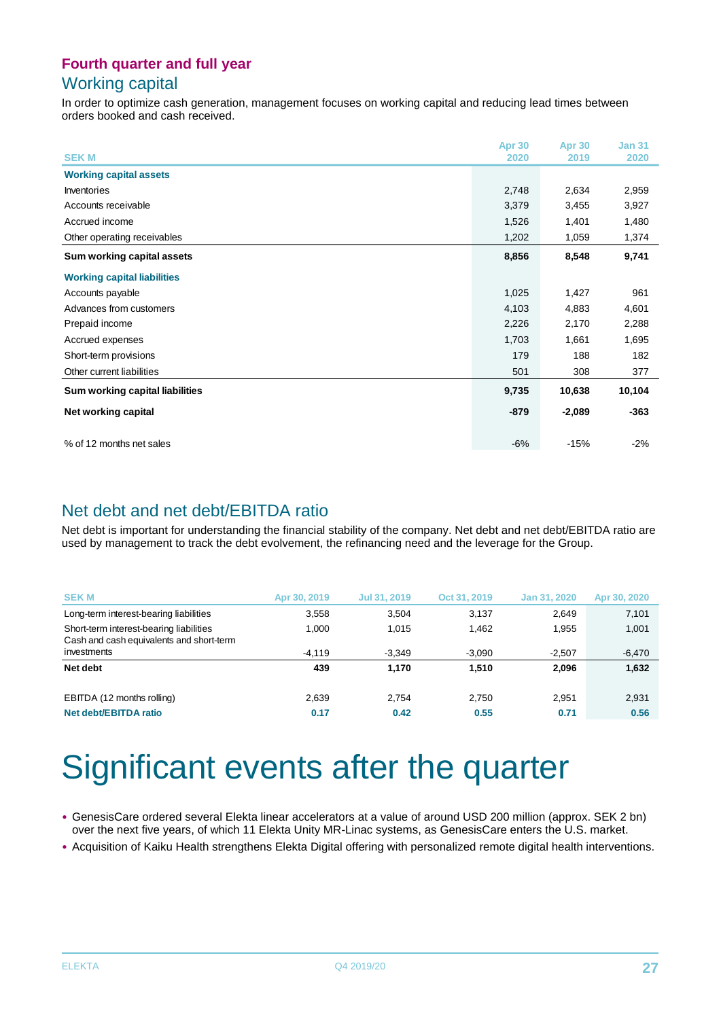### Working capital

In order to optimize cash generation, management focuses on working capital and reducing lead times between orders booked and cash received.

|                                    | <b>Apr 30</b> | <b>Apr 30</b> | <b>Jan 31</b> |
|------------------------------------|---------------|---------------|---------------|
| <b>SEKM</b>                        | 2020          | 2019          | 2020          |
| <b>Working capital assets</b>      |               |               |               |
| <b>Inventories</b>                 | 2,748         | 2,634         | 2,959         |
| Accounts receivable                | 3,379         | 3,455         | 3,927         |
| Accrued income                     | 1,526         | 1,401         | 1,480         |
| Other operating receivables        | 1,202         | 1,059         | 1,374         |
| Sum working capital assets         | 8,856         | 8,548         | 9,741         |
| <b>Working capital liabilities</b> |               |               |               |
| Accounts payable                   | 1,025         | 1,427         | 961           |
| Advances from customers            | 4,103         | 4,883         | 4,601         |
| Prepaid income                     | 2,226         | 2,170         | 2,288         |
| Accrued expenses                   | 1,703         | 1,661         | 1,695         |
| Short-term provisions              | 179           | 188           | 182           |
| Other current liabilities          | 501           | 308           | 377           |
| Sum working capital liabilities    | 9,735         | 10,638        | 10,104        |
| Net working capital                | $-879$        | $-2,089$      | $-363$        |
| % of 12 months net sales           | $-6%$         | $-15%$        | $-2%$         |

### Net debt and net debt/EBITDA ratio

Net debt is important for understanding the financial stability of the company. Net debt and net debt/EBITDA ratio are used by management to track the debt evolvement, the refinancing need and the leverage for the Group.

| <b>SEK M</b>                                                                        | Apr 30, 2019 | Jul 31, 2019 | Oct 31, 2019 | Jan 31, 2020 | Apr 30, 2020 |
|-------------------------------------------------------------------------------------|--------------|--------------|--------------|--------------|--------------|
| Long-term interest-bearing liabilities                                              | 3,558        | 3.504        | 3,137        | 2.649        | 7,101        |
| Short-term interest-bearing liabilities<br>Cash and cash equivalents and short-term | 1.000        | 1.015        | 1.462        | 1.955        | 1,001        |
| investments                                                                         | $-4.119$     | $-3.349$     | $-3.090$     | $-2.507$     | $-6,470$     |
| Net debt                                                                            | 439          | 1.170        | 1.510        | 2.096        | 1,632        |
| EBITDA (12 months rolling)                                                          | 2.639        | 2.754        | 2.750        | 2.951        | 2,931        |
| Net debt/EBITDA ratio                                                               | 0.17         | 0.42         | 0.55         | 0.71         | 0.56         |

# Significant events after the quarter

- GenesisCare ordered several Elekta linear accelerators at a value of around USD 200 million (approx. SEK 2 bn) over the next five years, of which 11 Elekta Unity MR-Linac systems, as GenesisCare enters the U.S. market.
- Acquisition of Kaiku Health strengthens Elekta Digital offering with personalized remote digital health interventions.